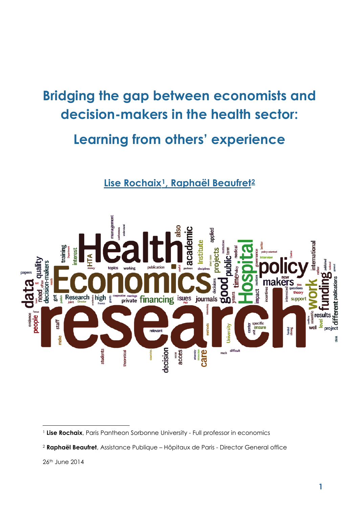# **Bridging the gap between economists and decision-makers in the health sector:**

# **Learning from others' experience**

# **Lise Rochaix[1](#page-0-0), Raphaël Beaufret[2](#page-0-1)**



**.** 

<span id="page-0-0"></span><sup>&</sup>lt;sup>1</sup> Lise Rochaix, Paris Pantheon Sorbonne University - Full professor in economics

<span id="page-0-1"></span><sup>2</sup> **Raphaël Beaufret**, Assistance Publique – Hôpitaux de Paris - Director General office

<sup>26</sup>th June 2014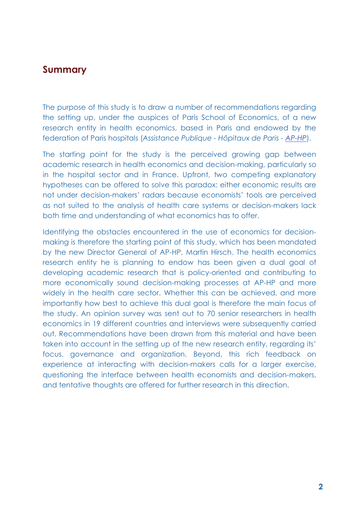# **Summary**

The purpose of this study is to draw a number of recommendations regarding the setting up, under the auspices of Paris School of Economics, of a new research entity in health economics, based in Paris and endowed by the federation of Paris hospitals (*Assistance Publique - Hôpitaux de Paris - [AP-HP](http://www.aphp.fr/)*).

The starting point for the study is the perceived growing gap between academic research in health economics and decision-making, particularly so in the hospital sector and in France. Upfront, two competing explanatory hypotheses can be offered to solve this paradox: either economic results are not under decision-makers' radars because economists' tools are perceived as not suited to the analysis of health care systems or decision-makers lack both time and understanding of what economics has to offer.

Identifying the obstacles encountered in the use of economics for decisionmaking is therefore the starting point of this study, which has been mandated by the new Director General of AP-HP, Martin Hirsch. The health economics research entity he is planning to endow has been given a dual goal of developing academic research that is policy-oriented and contributing to more economically sound decision-making processes at AP-HP and more widely in the health care sector. Whether this can be achieved, and more importantly how best to achieve this dual goal is therefore the main focus of the study. An opinion survey was sent out to 70 senior researchers in health economics in 19 different countries and interviews were subsequently carried out. Recommendations have been drawn from this material and have been taken into account in the setting up of the new research entity, regarding its' focus, governance and organization. Beyond, this rich feedback on experience at interacting with decision-makers calls for a larger exercise, questioning the interface between health economists and decision-makers, and tentative thoughts are offered for further research in this direction.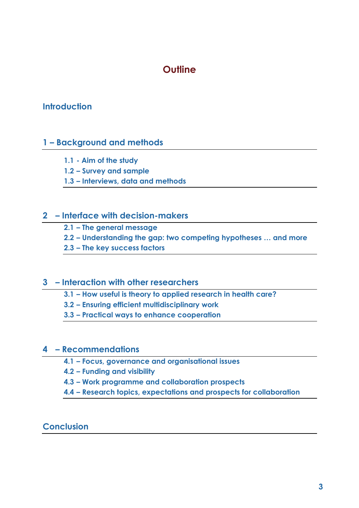# **Outline**

# **Introduction**

# **1 – Background and methods**

- **1.1 - Aim of the study**
- **1.2 – Survey and sample**
- **1.3 – Interviews, data and methods**

### **2 – Interface with decision-makers**

- **2.1 – The general message**
- **2.2 – Understanding the gap: two competing hypotheses … and more**
- **2.3 – The key success factors**

### **3 – Interaction with other researchers**

- **3.1 – How useful is theory to applied research in health care?**
- **3.2 – Ensuring efficient multidisciplinary work**
- **3.3 – Practical ways to enhance cooperation**

### **4 – Recommendations**

- **4.1 – Focus, governance and organisational issues**
- **4.2 – Funding and visibility**
- **4.3 – Work programme and collaboration prospects**
- **4.4 – Research topics, expectations and prospects for collaboration**

### **Conclusion**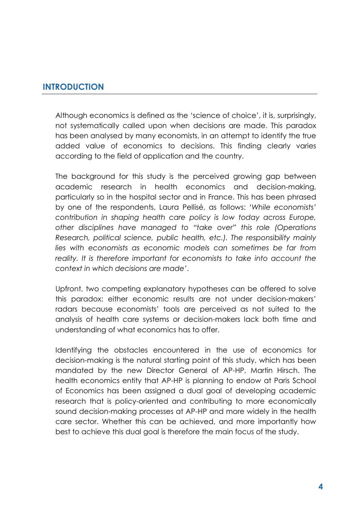# **INTRODUCTION**

Although economics is defined as the 'science of choice', it is, surprisingly, not systematically called upon when decisions are made. This paradox has been analysed by many economists, in an attempt to identify the true added value of economics to decisions. This finding clearly varies according to the field of application and the country.

The background for this study is the perceived growing gap between academic research in health economics and decision-making, particularly so in the hospital sector and in France. This has been phrased by one of the respondents, Laura Pellisé, as follows: '*While economists' contribution in shaping health care policy is low today across Europe, other disciplines have managed to "take over" this role (Operations Research, political science, public health, etc.). The responsibility mainly lies with economists as economic models can sometimes be far from*  reality. It is therefore important for economists to take into account the *context in which decisions are made'*.

Upfront, two competing explanatory hypotheses can be offered to solve this paradox: either economic results are not under decision-makers' radars because economists' tools are perceived as not suited to the analysis of health care systems or decision-makers lack both time and understanding of what economics has to offer.

Identifying the obstacles encountered in the use of economics for decision-making is the natural starting point of this study, which has been mandated by the new Director General of AP-HP, Martin Hirsch. The health economics entity that AP-HP is planning to endow at Paris School of Economics has been assigned a dual goal of developing academic research that is policy-oriented and contributing to more economically sound decision-making processes at AP-HP and more widely in the health care sector. Whether this can be achieved, and more importantly how best to achieve this dual goal is therefore the main focus of the study.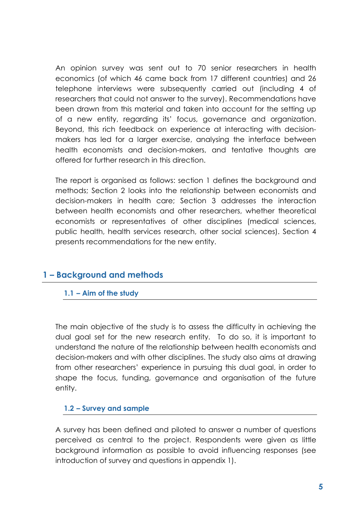An opinion survey was sent out to 70 senior researchers in health economics (of which 46 came back from 17 different countries) and 26 telephone interviews were subsequently carried out (including 4 of researchers that could not answer to the survey). Recommendations have been drawn from this material and taken into account for the setting up of a new entity, regarding its' focus, governance and organization. Beyond, this rich feedback on experience at interacting with decisionmakers has led for a larger exercise, analysing the interface between health economists and decision-makers, and tentative thoughts are offered for further research in this direction.

The report is organised as follows: section 1 defines the background and methods; Section 2 looks into the relationship between economists and decision-makers in health care; Section 3 addresses the interaction between health economists and other researchers, whether theoretical economists or representatives of other disciplines (medical sciences, public health, health services research, other social sciences). Section 4 presents recommendations for the new entity.

# **1 – Background and methods**

### **1.1 – Aim of the study**

The main objective of the study is to assess the difficulty in achieving the dual goal set for the new research entity. To do so, it is important to understand the nature of the relationship between health economists and decision-makers and with other disciplines. The study also aims at drawing from other researchers' experience in pursuing this dual goal, in order to shape the focus, funding, governance and organisation of the future entity.

### **1.2 – Survey and sample**

A survey has been defined and piloted to answer a number of questions perceived as central to the project. Respondents were given as little background information as possible to avoid influencing responses (see introduction of survey and questions in appendix 1).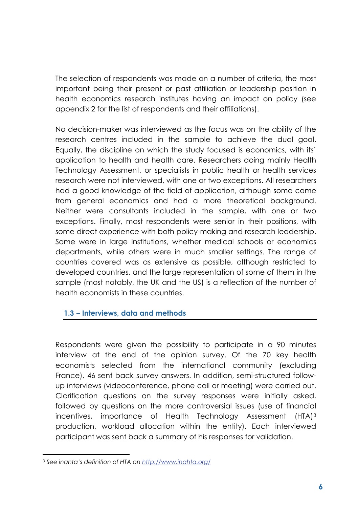The selection of respondents was made on a number of criteria, the most important being their present or past affiliation or leadership position in health economics research institutes having an impact on policy (see appendix 2 for the list of respondents and their affiliations).

No decision-maker was interviewed as the focus was on the ability of the research centres included in the sample to achieve the dual goal. Equally, the discipline on which the study focused is economics, with its' application to health and health care. Researchers doing mainly Health Technology Assessment, or specialists in public health or health services research were not interviewed, with one or two exceptions. All researchers had a good knowledge of the field of application, although some came from general economics and had a more theoretical background. Neither were consultants included in the sample, with one or two exceptions. Finally, most respondents were senior in their positions, with some direct experience with both policy-making and research leadership. Some were in large institutions, whether medical schools or economics departments, while others were in much smaller settings. The range of countries covered was as extensive as possible, although restricted to developed countries, and the large representation of some of them in the sample (most notably, the UK and the US) is a reflection of the number of health economists in these countries.

### **1.3 – Interviews, data and methods**

Respondents were given the possibility to participate in a 90 minutes interview at the end of the opinion survey. Of the 70 key health economists selected from the international community (excluding France), 46 sent back survey answers. In addition, semi-structured followup interviews (videoconference, phone call or meeting) were carried out. Clarification questions on the survey responses were initially asked, followed by questions on the more controversial issues (use of financial incentives, importance of Health Technology Assessment (HTA)[3](#page-5-0) production, workload allocation within the entity). Each interviewed participant was sent back a summary of his responses for validation.

**.** 

<span id="page-5-0"></span><sup>3</sup> *See inahta's definition of HTA on<http://www.inahta.org/>*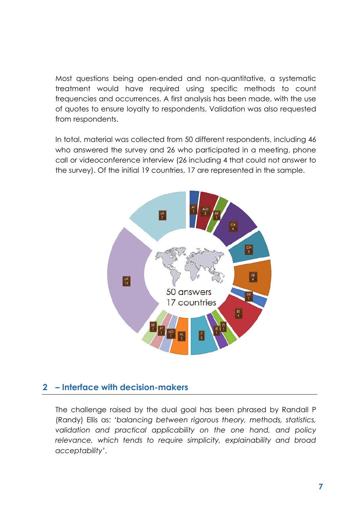Most questions being open-ended and non-quantitative, a systematic treatment would have required using specific methods to count frequencies and occurrences. A first analysis has been made, with the use of quotes to ensure loyalty to respondents. Validation was also requested from respondents.

In total, material was collected from 50 different respondents, including 46 who answered the survey and 26 who participated in a meeting, phone call or videoconference interview (26 including 4 that could not answer to the survey). Of the initial 19 countries, 17 are represented in the sample.



### **2 – Interface with decision-makers**

The challenge raised by the dual goal has been phrased by Randall P (Randy) Ellis as: *'balancing between rigorous theory, methods, statistics, validation and practical applicability on the one hand, and policy relevance, which tends to require simplicity, explainability and broad acceptability'*.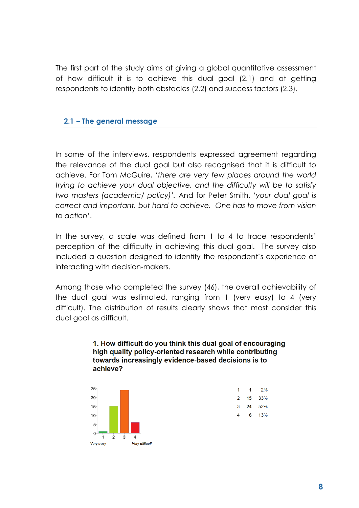The first part of the study aims at giving a global quantitative assessment of how difficult it is to achieve this dual goal (2.1) and at getting respondents to identify both obstacles (2.2) and success factors (2.3).

### **2.1 – The general message**

In some of the interviews, respondents expressed agreement regarding the relevance of the dual goal but also recognised that it is difficult to achieve. For Tom McGuire, *'there are very few places around the world trying to achieve your dual objective, and the difficulty will be to satisfy two masters (academic/ policy)'.* And for Peter Smith, '*your dual goal is correct and important, but hard to achieve. One has to move from vision to action'*.

In the survey, a scale was defined from 1 to 4 to trace respondents' perception of the difficulty in achieving this dual goal. The survey also included a question designed to identify the respondent's experience at interacting with decision-makers.

Among those who completed the survey (46), the overall achievability of the dual goal was estimated, ranging from 1 (very easy) to 4 (very difficult). The distribution of results clearly shows that most consider this dual goal as difficult.

#### 1. How difficult do you think this dual goal of encouraging high quality policy-oriented research while contributing towards increasingly evidence-based decisions is to achieve?



| 1 | 1  | 2%  |
|---|----|-----|
| 2 | 15 | 33% |
| 3 | 24 | 52% |
| 4 | 6  | 13% |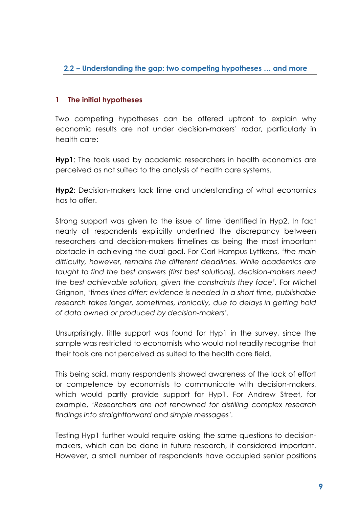### **2.2 – Understanding the gap: two competing hypotheses … and more**

### **1 The initial hypotheses**

Two competing hypotheses can be offered upfront to explain why economic results are not under decision-makers' radar, particularly in health care:

**Hyp1**: The tools used by academic researchers in health economics are perceived as not suited to the analysis of health care systems.

**Hyp2**: Decision-makers lack time and understanding of what economics has to offer.

Strong support was given to the issue of time identified in Hyp2. In fact nearly all respondents explicitly underlined the discrepancy between researchers and decision-makers timelines as being the most important obstacle in achieving the dual goal. For Carl Hampus Lyttkens, *'the main difficulty, however, remains the different deadlines. While academics are taught to find the best answers (first best solutions), decision-makers need the best achievable solution, given the constraints they face'.* For Michel Grignon, 't*imes-lines differ: evidence is needed in a short time, publishable research takes longer, sometimes, ironically, due to delays in getting hold of data owned or produced by decision-makers'.* 

Unsurprisingly, little support was found for Hyp1 in the survey, since the sample was restricted to economists who would not readily recognise that their tools are not perceived as suited to the health care field.

This being said, many respondents showed awareness of the lack of effort or competence by economists to communicate with decision-makers, which would partly provide support for Hyp1. For Andrew Street, for example, *'Researchers are not renowned for distilling complex research findings into straightforward and simple messages'.* 

Testing Hyp1 further would require asking the same questions to decisionmakers, which can be done in future research, if considered important. However, a small number of respondents have occupied senior positions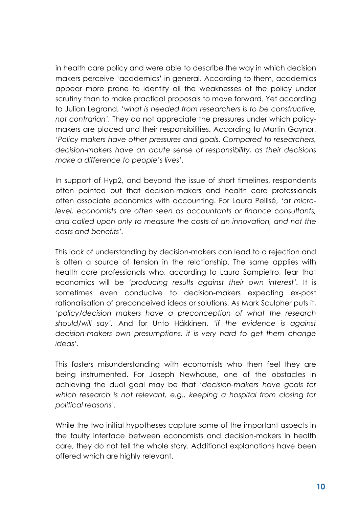in health care policy and were able to describe the way in which decision makers perceive 'academics' in general. According to them, academics appear more prone to identify all the weaknesses of the policy under scrutiny than to make practical proposals to move forward. Yet according to Julian Legrand, '*what is needed from researchers is to be constructive, not contrarian'.* They do not appreciate the pressures under which policymakers are placed and their responsibilities. According to Martin Gaynor, *'Policy makers have other pressures and goals. Compared to researchers, decision-makers have an acute sense of responsibility, as their decisions make a difference to people's lives'.*

In support of Hyp2, and beyond the issue of short timelines, respondents often pointed out that decision-makers and health care professionals often associate economics with accounting. For Laura Pellisé, '*at microlevel, economists are often seen as accountants or finance consultants, and called upon only to measure the costs of an innovation, and not the costs and benefits'.*

This lack of understanding by decision-makers can lead to a rejection and is often a source of tension in the relationship. The same applies with health care professionals who, according to Laura Sampietro, fear that economics will be *'producing results against their own interest'.* It is sometimes even conducive to decision-makers expecting ex-post rationalisation of preconceived ideas or solutions. As Mark Sculpher puts it, *'policy/decision makers have a preconception of what the research should/will say'.* And for Unto Häkkinen, *'if the evidence is against decision-makers own presumptions, it is very hard to get them change ideas'.*

This fosters misunderstanding with economists who then feel they are being instrumented. For Joseph Newhouse, one of the obstacles in achieving the dual goal may be that *'decision-makers have goals for which research is not relevant, e.g., keeping a hospital from closing for political reasons'.*

While the two initial hypotheses capture some of the important aspects in the faulty interface between economists and decision-makers in health care, they do not tell the whole story. Additional explanations have been offered which are highly relevant.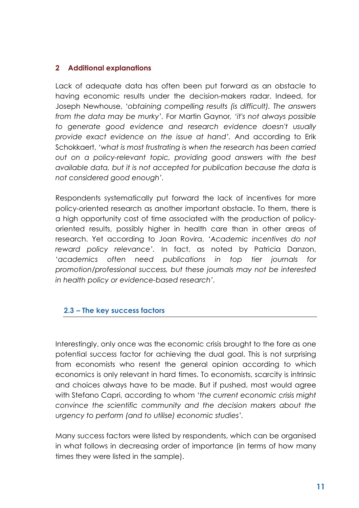### **2 Additional explanations**

Lack of adequate data has often been put forward as an obstacle to having economic results under the decision-makers radar. Indeed, for Joseph Newhouse, *'obtaining compelling results (is difficult). The answers from the data may be murky'.* For Martin Gaynor*, 'it's not always possible to generate good evidence and research evidence doesn't usually provide exact evidence on the issue at hand'.* And according to Erik Schokkaert, *'what is most frustrating is when the research has been carried out on a policy-relevant topic, providing good answers with the best available data, but it is not accepted for publication because the data is not considered good enough'.*

Respondents systematically put forward the lack of incentives for more policy-oriented research as another important obstacle. To them, there is a high opportunity cost of time associated with the production of policyoriented results, possibly higher in health care than in other areas of research. Yet according to Joan Rovira, *'Academic incentives do not reward policy relevance'.* In fact, as noted by Patricia Danzon, '*academics often need publications in top tier journals for promotion/professional success, but these journals may not be interested in health policy or evidence-based research'.*

### **2.3 – The key success factors**

Interestingly, only once was the economic crisis brought to the fore as one potential success factor for achieving the dual goal. This is not surprising from economists who resent the general opinion according to which economics is only relevant in hard times. To economists, scarcity is intrinsic and choices always have to be made. But if pushed, most would agree with Stefano Capri, according to whom *'the current economic crisis might convince the scientific community and the decision makers about the urgency to perform (and to utilise) economic studies'.*

Many success factors were listed by respondents, which can be organised in what follows in decreasing order of importance (in terms of how many times they were listed in the sample).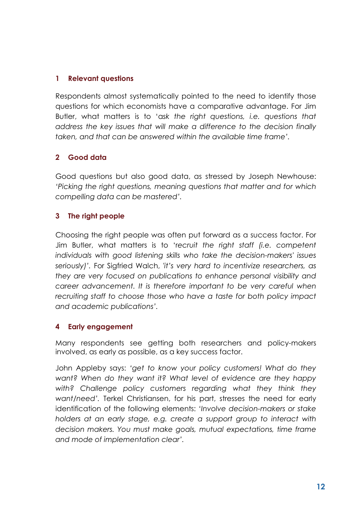### **1 Relevant questions**

Respondents almost systematically pointed to the need to identify those questions for which economists have a comparative advantage. For Jim Butler, what matters is to 'a*sk the right questions, i.e. questions that address the key issues that will make a difference to the decision finally taken, and that can be answered within the available time frame'.*

### **2 Good data**

Good questions but also good data, as stressed by Joseph Newhouse: *'Picking the right questions, meaning questions that matter and for which compelling data can be mastered'.*

### **3 The right people**

Choosing the right people was often put forward as a success factor. For Jim Butler, what matters is to 'r*ecruit the right staff (i.e. competent individuals with good listening skills who take the decision-makers' issues seriously)'.* For Sigfried Walch, *'it's very hard to incentivize researchers, as they are very focused on publications to enhance personal visibility and career advancement. It is therefore important to be very careful when recruiting staff to choose those who have a taste for both policy impact and academic publications'.*

### **4 Early engagement**

Many respondents see getting both researchers and policy-makers involved, as early as possible, as a key success factor.

John Appleby says: *'get to know your policy customers! What do they want? When do they want it? What level of evidence are they happy*  with? Challenge policy customers regarding what they think they *want/need'.* Terkel Christiansen, for his part, stresses the need for early identification of the following elements: *'Involve decision-makers or stake holders at an early stage, e.g. create a support group to interact with decision makers. You must make goals, mutual expectations, time frame and mode of implementation clear'.*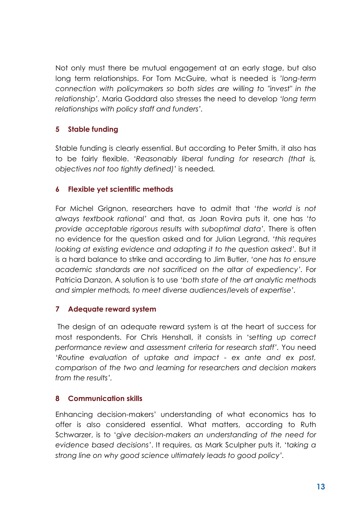Not only must there be mutual engagement at an early stage, but also long term relationships. For Tom McGuire, what is needed is *'long-term connection with policymakers so both sides are willing to "invest" in the relationship'.* Maria Goddard also stresses the need to develop *'long term relationships with policy staff and funders'.*

## **5 Stable funding**

Stable funding is clearly essential. But according to Peter Smith, it also has to be fairly flexible. *'Reasonably liberal funding for research (that is, objectives not too tightly defined)'* is needed*.*

### **6 Flexible yet scientific methods**

For Michel Grignon, researchers have to admit that '*the world is not always textbook rational'* and that, as Joan Rovira puts it, one has *'to provide acceptable rigorous results with suboptimal data'.* There is often no evidence for the question asked and for Julian Legrand, *'this requires looking at existing evidence and adapting it to the question asked'.* But it is a hard balance to strike and according to Jim Butler, *'one has to ensure academic standards are not sacrificed on the altar of expediency'.* For Patricia Danzon, A solution is to use *'both state of the art analytic methods and simpler methods, to meet diverse audiences/levels of expertise'.*

### **7 Adequate reward system**

The design of an adequate reward system is at the heart of success for most respondents. For Chris Henshall, it consists in 's*etting up correct performance review and assessment criteria for research staff'.* You need '*Routine evaluation of uptake and impact - ex ante and ex post, comparison of the two and learning for researchers and decision makers from the results'.*

### **8 Communication skills**

Enhancing decision-makers' understanding of what economics has to offer is also considered essential. What matters, according to Ruth Schwarzer, is to 'g*ive decision-makers an understanding of the need for evidence based decisions'*. It requires, as Mark Sculpher puts it, 't*aking a strong line on why good science ultimately leads to good policy'.*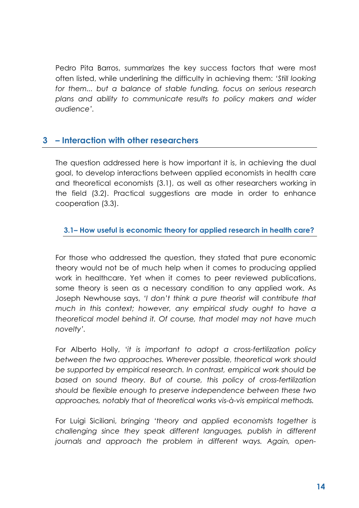Pedro Pita Barros, summarizes the key success factors that were most often listed, while underlining the difficulty in achieving them: *'Still looking for them... but a balance of stable funding, focus on serious research plans and ability to communicate results to policy makers and wider audience'.*

# **3 – Interaction with other researchers**

The question addressed here is how important it is, in achieving the dual goal, to develop interactions between applied economists in health care and theoretical economists (3.1), as well as other researchers working in the field (3.2). Practical suggestions are made in order to enhance cooperation (3.3).

### **3.1– How useful is economic theory for applied research in health care?**

For those who addressed the question, they stated that pure economic theory would not be of much help when it comes to producing applied work in healthcare. Yet when it comes to peer reviewed publications, some theory is seen as a necessary condition to any applied work. As Joseph Newhouse says, *'I don't think a pure theorist will contribute that much in this context; however, any empirical study ought to have a theoretical model behind it. Of course, that model may not have much novelty'.*

For Alberto Holly, '*it is important to adopt a cross-fertilization policy between the two approaches. Wherever possible, theoretical work should be supported by empirical research. In contrast, empirical work should be based on sound theory. But of course, this policy of cross-fertilization should be flexible enough to preserve independence between these two approaches, notably that of theoretical works vis-à-vis empirical methods.*

For Luigi Siciliani, *bringing 'theory and applied economists together is challenging since they speak different languages, publish in different journals and approach the problem in different ways. Again, open-*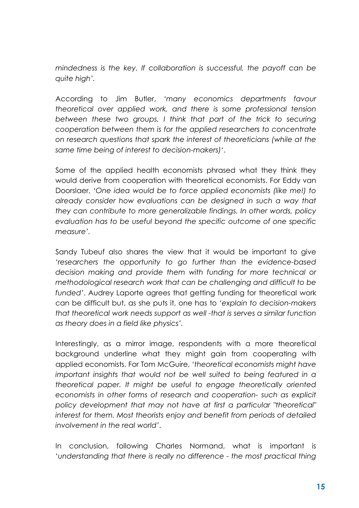*mindedness is the key. If collaboration is successful, the payoff can be quite high'.*

According to Jim Butler, *'many economics departments favour theoretical over applied work, and there is some professional tension*  between these two groups. I think that part of the trick to securing *cooperation between them is for the applied researchers to concentrate on research questions that spark the interest of theoreticians (while at the same time being of interest to decision-makers)'*.

Some of the applied health economists phrased what they think they would derive from cooperation with theoretical economists. For Eddy van Doorslaer, *'One idea would be to force applied economists (like me!) to already consider how evaluations can be designed in such a way that they can contribute to more generalizable findings. In other words, policy evaluation has to be useful beyond the specific outcome of one specific measure'.*

Sandy Tubeuf also shares the view that it would be important to give '*researchers the opportunity to go further than the evidence-based decision making and provide them with funding for more technical or methodological research work that can be challenging and difficult to be funded'*. Audrey Laporte agrees that getting funding for theoretical work can be difficult but, as she puts it, one has to *'explain to decision-makers that theoretical work needs support as well -that is serves a similar function as theory does in a field like physics'.*

Interestingly, as a mirror image, respondents with a more theoretical background underline what they might gain from cooperating with applied economists. For Tom McGuire, *'theoretical economists might have important insights that would not be well suited to being featured in a theoretical paper. It might be useful to engage theoretically oriented economists in other forms of research and cooperation- such as explicit policy development that may not have at first a particular "theoretical" interest for them. Most theorists enjoy and benefit from periods of detailed involvement in the real world'*.

In conclusion, following Charles Normand, what is important is '*understanding that there is really no difference - the most practical thing*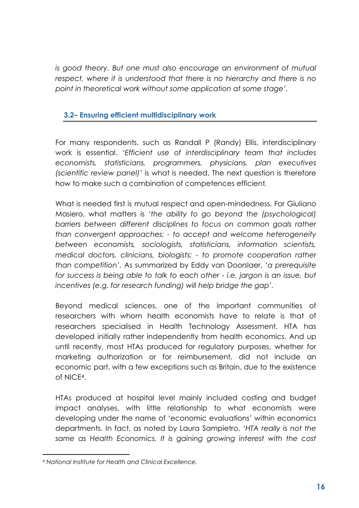*is good theory. But one must also encourage an environment of mutual respect, where it is understood that there is no hierarchy and there is no point in theoretical work without some application at some stage'.*

### **3.2– Ensuring efficient multidisciplinary work**

For many respondents, such as Randall P (Randy) Ellis, interdisciplinary work is essential. *'Efficient use of interdisciplinary team that includes economists, statisticians, programmers, physicians, plan executives (scientific review panel)'* is what is needed. The next question is therefore how to make such a combination of competences efficient*.* 

What is needed first is mutual respect and open-mindedness. For Giuliano Masiero, what matters is *'the ability to go beyond the (psychological) barriers between different disciplines to focus on common goals rather than convergent approaches; - to accept and welcome heterogeneity between economists, sociologists, statisticians, information scientists, medical doctors, clinicians, biologists; - to promote cooperation rather than competition'.* As summarized by Eddy van Doorslaer, '*a prerequisite for success is being able to talk to each other - i.e. jargon is an issue, but incentives (e.g. for research funding) will help bridge the gap'.* 

Beyond medical sciences, one of the important communities of researchers with whom health economists have to relate is that of researchers specialised in Health Technology Assessment. HTA has developed initially rather independently from health economics. And up until recently, most HTAs produced for regulatory purposes, whether for marketing authorization or for reimbursement, did not include an economic part, with a few exceptions such as Britain, due to the existence of NICE[4.](#page-15-0)

HTAs produced at hospital level mainly included costing and budget impact analyses, with little relationship to what economists were developing under the name of 'economic evaluations' within economics departments. In fact, as noted by Laura Sampietro, '*HTA really is not the same as Health Economics. It is gaining growing interest with the cost* 

**.** 

<span id="page-15-0"></span>*<sup>4</sup> National Institute for Health and Clinical Excellence.*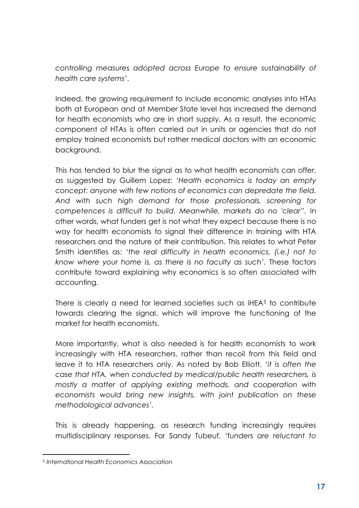*controlling measures adopted across Europe to ensure sustainability of health care systems'*.

Indeed, the growing requirement to include economic analyses into HTAs both at European and at Member State level has increased the demand for health economists who are in short supply. As a result, the economic component of HTAs is often carried out in units or agencies that do not employ trained economists but rather medical doctors with an economic background.

This has tended to blur the signal as to what health economists can offer, as suggested by Guillem Lopez: '*Health economics is today an empty concept: anyone with few notions of economics can depredate the field. And with such high demand for those professionals, screening for competences is difficult to build. Meanwhile, markets do no 'clear''.* In other words, what funders get is not what they expect because there is no way for health economists to signal their difference in training with HTA researchers and the nature of their contribution. This relates to what Peter Smith identifies as: *'the real difficulty in health economics, (i.e.) not to know where your home is, as there is no faculty as such'.* These factors contribute toward explaining why economics is so often associated with accounting.

There is clearly a need for learned societies such as iHEA[5](#page-16-0) to contribute towards clearing the signal, which will improve the functioning of the market for health economists.

More importantly, what is also needed is for health economists to work increasingly with HTA researchers, rather than recoil from this field and leave it to HTA researchers only. As noted by Bob Elliott, '*it is often the case that HTA, when conducted by medical/public health researchers, is mostly a matter of applying existing methods, and cooperation with economists would bring new insights, with joint publication on these methodological advances'.*

This is already happening, as research funding increasingly requires multidisciplinary responses. For Sandy Tubeuf, 'f*unders are reluctant to* 

**.** 

<span id="page-16-0"></span>*<sup>5</sup> International Health Economics Association*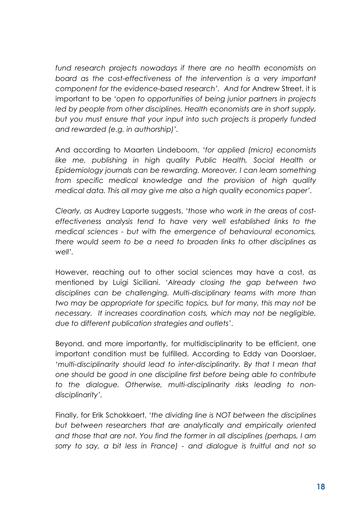*fund research projects nowadays if there are no health economists on board as the cost-effectiveness of the intervention is a very important component for the evidence-based research'. And for* Andrew Street, it is important to be '*open to opportunities of being junior partners in projects led by people from other disciplines. Health economists are in short supply, but you must ensure that your input into such projects is properly funded and rewarded (e.g. in authorship)'.*

And according to Maarten Lindeboom, '*for applied (micro) economists like me, publishing in high quality Public Health, Social Health or Epidemiology journals can be rewarding. Moreover, I can learn something from specific medical knowledge and the provision of high quality medical data. This all may give me also a high quality economics paper'.*

*Clearly, as* Audrey Laporte suggests, '*those who work in the areas of costeffectiveness analysis tend to have very well established links to the medical sciences - but with the emergence of behavioural economics, there would seem to be a need to broaden links to other disciplines as well'.* 

However, reaching out to other social sciences may have a cost, as mentioned by Luigi Siciliani. '*Already closing the gap between two disciplines can be challenging. Multi-disciplinary teams with more than two may be appropriate for specific topics, but for many, this may not be necessary. It increases coordination costs, which may not be negligible, due to different publication strategies and outlets'*.

Beyond, and more importantly, for multidisciplinarity to be efficient, one important condition must be fulfilled. According to Eddy van Doorslaer, '*multi-disciplinarity should lead to inter-disciplinarity. By that I mean that one should be good in one discipline first before being able to contribute to the dialogue. Otherwise, multi-disciplinarity risks leading to nondisciplinarity'.*

Finally, for Erik Schokkaert, *'the dividing line is NOT between the disciplines but between researchers that are analytically and empirically oriented and those that are not. You find the former in all disciplines (perhaps, I am sorry to say, a bit less in France) - and dialogue is fruitful and not so*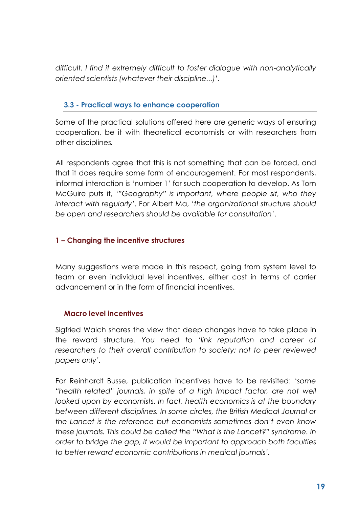*difficult. I find it extremely difficult to foster dialogue with non-analytically oriented scientists (whatever their discipline...)'.*

# **3.3 - Practical ways to enhance cooperation**

Some of the practical solutions offered here are generic ways of ensuring cooperation, be it with theoretical economists or with researchers from other disciplines*.*

All respondents agree that this is not something that can be forced, and that it does require some form of encouragement. For most respondents, informal interaction is 'number 1' for such cooperation to develop. As Tom McGuire puts it, *'"Geography" is important, where people sit, who they interact with regularly'*. For Albert Ma, '*the organizational structure should be open and researchers should be available for consultation'*.

## **1 – Changing the incentive structures**

Many suggestions were made in this respect, going from system level to team or even individual level incentives, either cast in terms of carrier advancement or in the form of financial incentives.

### **Macro level incentives**

Sigfried Walch shares the view that deep changes have to take place in the reward structure. *You need to 'link reputation and career of researchers to their overall contribution to society; not to peer reviewed papers only'.*

For Reinhardt Busse, publication incentives have to be revisited: '*some "health related" journals, in spite of a high Impact factor, are not well*  looked upon by economists. In fact, health economics is at the boundary *between different disciplines. In some circles, the British Medical Journal or the Lancet is the reference but economists sometimes don't even know these journals. This could be called the "What is the Lancet?" syndrome. In order to bridge the gap, it would be important to approach both faculties to better reward economic contributions in medical journals'.*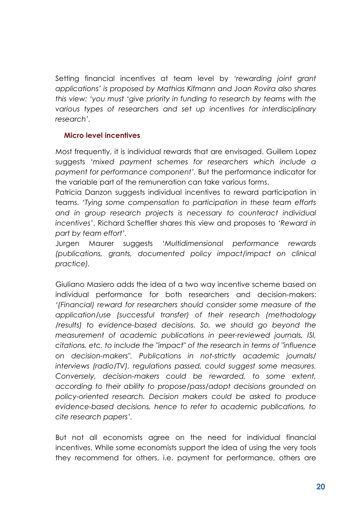Setting financial incentives at team level by *'rewarding joint grant applications' is proposed by Mathias Kifmann and Joan Rovira also shares this view: 'you must 'give priority in funding to research by teams with the various types of researchers and set up incentives for interdisciplinary research'.*

### **Micro level incentives**

Most frequently, it is individual rewards that are envisaged. Guillem Lopez suggests *'mixed payment schemes for researchers which include a payment for performance component'.* But the performance indicator for the variable part of the remuneration can take various forms.

Patricia Danzon suggests individual incentives to reward participation in teams. *'Tying some compensation to participation in these team efforts and in group research projects is necessary to counteract individual incentives'*. Richard Scheffler shares this view and proposes to *'Reward in part by team effort'.*

Jurgen Maurer suggests *'Multidimensional performance rewards (publications, grants, documented policy impact/impact on clinical practice).*

Giuliano Masiero adds the idea of a two way incentive scheme based on individual performance for both researchers and decision-makers: *'(Financial) reward for researchers should consider some measure of the application/use (successful transfer) of their research (methodology /results) to evidence-based decisions. So, we should go beyond the measurement of academic publications in peer-reviewed journals, ISI, citations, etc. to include the "impact" of the research in terms of "influence on decision-makers". Publications in not-strictly academic journals/ interviews (radio/TV), regulations passed, could suggest some measures. Conversely, decision-makers could be rewarded, to some extent, according to their ability to propose/pass/adopt decisions grounded on policy-oriented research. Decision makers could be asked to produce evidence-based decisions, hence to refer to academic publications, to cite research papers'.*

But not all economists agree on the need for individual financial incentives. While some economists support the idea of using the very tools they recommend for others, i.e. payment for performance, others are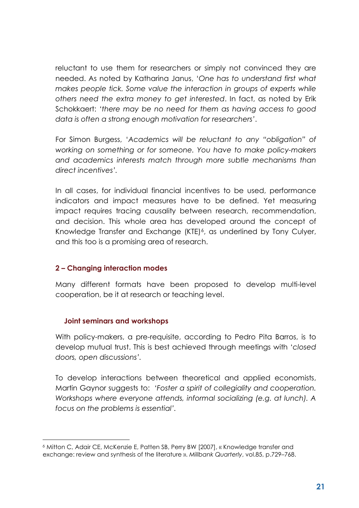reluctant to use them for researchers or simply not convinced they are needed. As noted by Katharina Janus, '*One has to understand first what makes people tick. Some value the interaction in groups of experts while others need the extra money to get interested*. In fact, as noted by Erik Schokkaert: *'there may be no need for them as having access to good data is often a strong enough motivation for researchers'*.

For Simon Burgess, '*Academics will be reluctant to any "obligation" of working on something or for someone. You have to make policy-makers and academics interests match through more subtle mechanisms than direct incentives'.*

In all cases, for individual financial incentives to be used, performance indicators and impact measures have to be defined. Yet measuring impact requires tracing causality between research, recommendation, and decision. This whole area has developed around the concept of Knowledge Transfer and Exchange (KTE)<sup>[6](#page-20-0)</sup>, as underlined by Tony Culyer, and this too is a promising area of research.

### **2 – Changing interaction modes**

Many different formats have been proposed to develop multi-level cooperation, be it at research or teaching level.

### **Joint seminars and workshops**

**.** 

With policy-makers, a pre-requisite, according to Pedro Pita Barros, is to develop mutual trust. This is best achieved through meetings with '*closed doors, open discussions'.*

To develop interactions between theoretical and applied economists, Martin Gaynor suggests to: *'Foster a spirit of collegiality and cooperation. Workshops where everyone attends, informal socializing (e.g. at lunch). A focus on the problems is essential'.*

<span id="page-20-0"></span>*<sup>6</sup>* Mitton C, Adair CE, McKenzie E, Patten SB, Perry BW [2007], « Knowledge transfer and exchange: review and synthesis of the literature ». *Millbank Quarterly*, vol.85, p.729–768.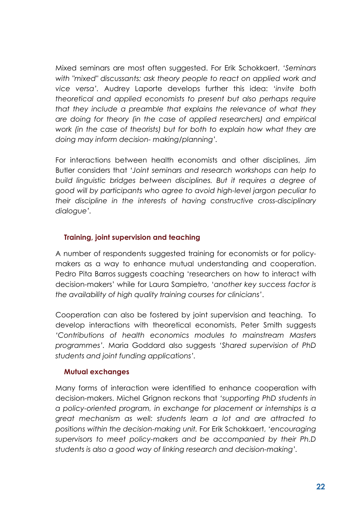Mixed seminars are most often suggested. For Erik Schokkaert, *'Seminars with "mixed" discussants: ask theory people to react on applied work and vice versa'.* Audrey Laporte develops further this idea: '*invite both theoretical and applied economists to present but also perhaps require that they include a preamble that explains the relevance of what they are doing for theory (in the case of applied researchers) and empirical work (in the case of theorists) but for both to explain how what they are doing may inform decision- making/planning'.*

For interactions between health economists and other disciplines, Jim Butler considers that *'Joint seminars and research workshops can help to build linguistic bridges between disciplines. But it requires a degree of good will by participants who agree to avoid high-level jargon peculiar to their discipline in the interests of having constructive cross-disciplinary dialogue'.*

### **Training, joint supervision and teaching**

A number of respondents suggested training for economists or for policymakers as a way to enhance mutual understanding and cooperation. Pedro Pita Barros suggests coaching 'researchers on how to interact with decision-makers' while for Laura Sampietro, '*another key success factor is the availability of high quality training courses for clinicians'*.

Cooperation can also be fostered by joint supervision and teaching. To develop interactions with theoretical economists, Peter Smith suggests *'Contributions of health economics modules to mainstream Masters programmes'.* Maria Goddard also suggests *'Shared supervision of PhD students and joint funding applications'.* 

### **Mutual exchanges**

Many forms of interaction were identified to enhance cooperation with decision-makers. Michel Grignon reckons that *'supporting PhD students in a policy-oriented program, in exchange for placement or internships is a great mechanism as well: students learn a lot and are attracted to positions within the decision-making unit.* For Erik Schokkaert, *'encouraging supervisors to meet policy-makers and be accompanied by their Ph.D students is also a good way of linking research and decision-making'.*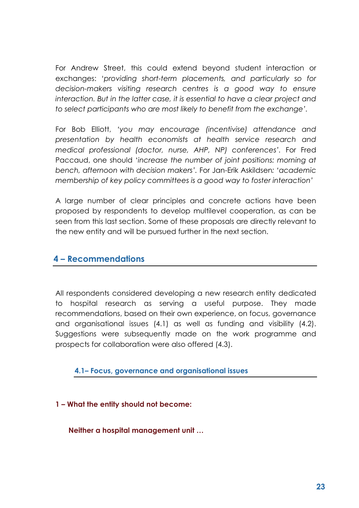For Andrew Street, this could extend beyond student interaction or exchanges: '*providing short-term placements, and particularly so for decision-makers visiting research centres is a good way to ensure interaction. But in the latter case, it is essential to have a clear project and to select participants who are most likely to benefit from the exchange'.*

For Bob Elliott, *'you may encourage (incentivise) attendance and presentation by health economists at health service research and medical professional (doctor, nurse, AHP, NP) conferences'.* For Fred Paccaud, one should '*increase the number of joint positions: morning at bench, afternoon with decision makers'.* For Jan-Erik Askildsen*: 'academic membership of key policy committees is a good way to foster interaction'*

A large number of clear principles and concrete actions have been proposed by respondents to develop multilevel cooperation, as can be seen from this last section. Some of these proposals are directly relevant to the new entity and will be pursued further in the next section.

# **4 – Recommendations**

All respondents considered developing a new research entity dedicated to hospital research as serving a useful purpose. They made recommendations, based on their own experience, on focus, governance and organisational issues (4.1) as well as funding and visibility (4.2). Suggestions were subsequently made on the work programme and prospects for collaboration were also offered (4.3).

**4.1– Focus, governance and organisational issues**

### **1 – What the entity should not become:**

**Neither a hospital management unit …**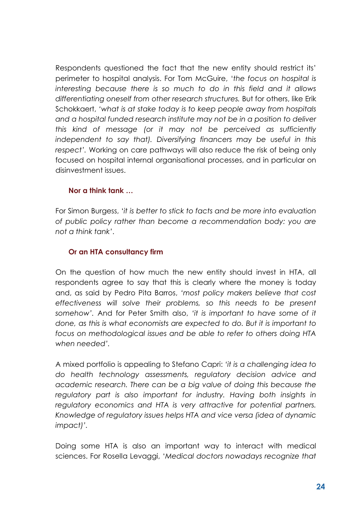Respondents questioned the fact that the new entity should restrict its' perimeter to hospital analysis. For Tom McGuire, '*the focus on hospital is interesting because there is so much to do in this field and it allows differentiating oneself from other research structures.* But for others, like Erik Schokkaert, *'what is at stake today is to keep people away from hospitals and a hospital funded research institute may not be in a position to deliver this kind of message (or it may not be perceived as sufficiently independent to say that). Diversifying financers may be useful in this respect'.* Working on care pathways will also reduce the risk of being only focused on hospital internal organisational processes, and in particular on disinvestment issues.

### **Nor a think tank …**

For Simon Burgess, '*it is better to stick to facts and be more into evaluation of public policy rather than become a recommendation body: you are not a think tank'*.

### **Or an HTA consultancy firm**

On the question of how much the new entity should invest in HTA, all respondents agree to say that this is clearly where the money is today and, as said by Pedro Pita Barros, *'most policy makers believe that cost effectiveness will solve their problems, so this needs to be present somehow'.* And for Peter Smith also, *'it is important to have some of it done, as this is what economists are expected to do. But it is important to focus on methodological issues and be able to refer to others doing HTA when needed'.* 

A mixed portfolio is appealing to Stefano Capri: *'it is a challenging idea to do health technology assessments, regulatory decision advice and academic research. There can be a big value of doing this because the*  regulatory part is also important for industry. Having both insights in *regulatory economics and HTA is very attractive for potential partners. Knowledge of regulatory issues helps HTA and vice versa (idea of dynamic impact)'.* 

Doing some HTA is also an important way to interact with medical sciences. For Rosella Levaggi, '*Medical doctors nowadays recognize that*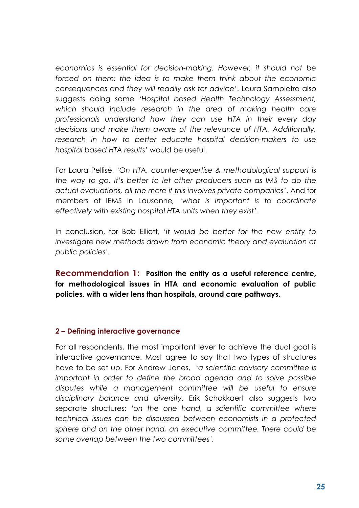*economics is essential for decision-making. However, it should not be*  forced on them: the idea is to make them think about the economic *consequences and they will readily ask for advice'*. Laura Sampietro also suggests doing some '*Hospital based Health Technology Assessment, which should include research in the area of making health care professionals understand how they can use HTA in their every day decisions and make them aware of the relevance of HTA. Additionally, research in how to better educate hospital decision-makers to use hospital based HTA results'* would be useful.

For Laura Pellisé, '*On HTA, counter-expertise & methodological support is the way to go. It's better to let other producers such as IMS to do the actual evaluations, all the more if this involves private companies'*. And for members of IEMS in Lausanne*, 'what is important is to coordinate effectively with existing hospital HTA units when they exist'.*

In conclusion, for Bob Elliott, *'it would be better for the new entity to investigate new methods drawn from economic theory and evaluation of public policies'.* 

**Recommendation 1: Position the entity as a useful reference centre, for methodological issues in HTA and economic evaluation of public policies, with a wider lens than hospitals, around care pathways.**

### **2 – Defining interactive governance**

For all respondents, the most important lever to achieve the dual goal is interactive governance. Most agree to say that two types of structures have to be set up. For Andrew Jones, '*a scientific advisory committee is important in order to define the broad agenda and to solve possible disputes while a management committee will be useful to ensure disciplinary balance and diversity.* Erik Schokkaert also suggests two separate structures: *'on the one hand, a scientific committee where technical issues can be discussed between economists in a protected sphere and on the other hand, an executive committee. There could be some overlap between the two committees'.*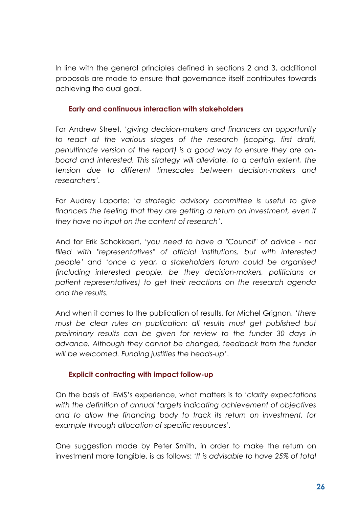In line with the general principles defined in sections 2 and 3, additional proposals are made to ensure that governance itself contributes towards achieving the dual goal.

### **Early and continuous interaction with stakeholders**

For Andrew Street, '*giving decision-makers and financers an opportunity to react at the various stages of the research (scoping, first draft, penultimate version of the report) is a good way to ensure they are onboard and interested. This strategy will alleviate, to a certain extent, the tension due to different timescales between decision-makers and researchers'.*

For Audrey Laporte: '*a strategic advisory committee is useful to give*  financers the feeling that they are getting a return on investment, even if *they have no input on the content of research'*.

And for Erik Schokkaert, '*you need to have a "Council" of advice - not filled with "representatives" of official institutions, but with interested people'* and '*once a year, a stakeholders forum could be organised (including interested people, be they decision-makers, politicians or patient representatives) to get their reactions on the research agenda and the results.*

And when it comes to the publication of results, for Michel Grignon, '*there must be clear rules on publication: all results must get published but preliminary results can be given for review to the funder 30 days in advance. Although they cannot be changed, feedback from the funder will be welcomed. Funding justifies the heads-up'*.

### **Explicit contracting with impact follow-up**

On the basis of IEMS's experience, what matters is to '*clarify expectations with the definition of annual targets indicating achievement of objectives and to allow the financing body to track its return on investment, for example through allocation of specific resources'.*

One suggestion made by Peter Smith, in order to make the return on investment more tangible, is as follows: '*It is advisable to have 25% of total*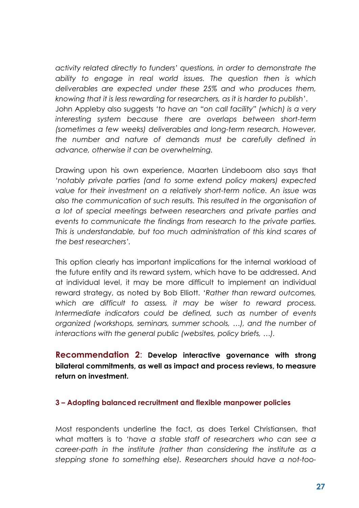*activity related directly to funders' questions, in order to demonstrate the ability to engage in real world issues. The question then is which deliverables are expected under these 25% and who produces them, knowing that it is less rewarding for researchers, as it is harder to publish'*. John Appleby also suggests *'to have an "on call facility" (which) is a very interesting system because there are overlaps between short-term (sometimes a few weeks) deliverables and long-term research. However, the number and nature of demands must be carefully defined in advance, otherwise it can be overwhelming.* 

Drawing upon his own experience, Maarten Lindeboom also says that '*notably private parties (and to some extend policy makers) expected value for their investment on a relatively short-term notice. An issue was also the communication of such results. This resulted in the organisation of a lot of special meetings between researchers and private parties and events to communicate the findings from research to the private parties. This is understandable, but too much administration of this kind scares of the best researchers'.*

This option clearly has important implications for the internal workload of the future entity and its reward system, which have to be addressed. And at individual level, it may be more difficult to implement an individual reward strategy, as noted by Bob Elliott. '*Rather than reward outcomes, which are difficult to assess, it may be wiser to reward process. Intermediate indicators could be defined, such as number of events organized (workshops, seminars, summer schools, …), and the number of interactions with the general public (websites, policy briefs, …).*

# **Recommendation 2**: **Develop interactive governance with strong bilateral commitments, as well as impact and process reviews, to measure return on investment.**

#### **3 – Adopting balanced recruitment and flexible manpower policies**

Most respondents underline the fact, as does Terkel Christiansen, that what matters is to *'have a stable staff of researchers who can see a career-path in the institute (rather than considering the institute as a stepping stone to something else). Researchers should have a not-too-*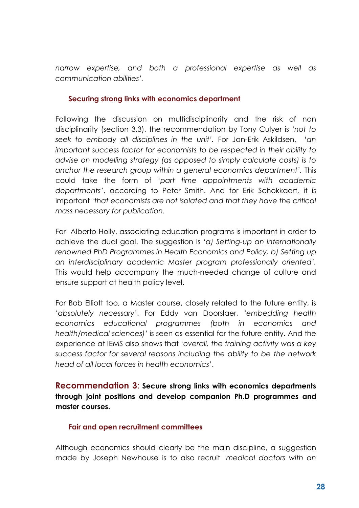*narrow expertise, and both a professional expertise as well as communication abilities'.*

### **Securing strong links with economics department**

Following the discussion on multidisciplinarity and the risk of non disciplinarity (section 3.3), the recommendation by Tony Culyer is *'not to seek to embody all disciplines in the unit'.* For Jan-Erik Askildsen, '*an important success factor for economists to be respected in their ability to advise on modelling strategy (as opposed to simply calculate costs) is to anchor the research group within a general economics department'.* This could take the form of '*part time appointments with academic departments'*, according to Peter Smith. And for Erik Schokkaert, it is important '*that economists are not isolated and that they have the critical mass necessary for publication.* 

For Alberto Holly, associating education programs is important in order to achieve the dual goal. The suggestion is *'a) Setting-up an internationally renowned PhD Programmes in Health Economics and Policy, b) Setting up an interdisciplinary academic Master program professionally oriented'.* This would help accompany the much-needed change of culture and ensure support at health policy level.

For Bob Elliott too, a Master course, closely related to the future entity, is '*absolutely necessary'*. For Eddy van Doorslaer, *'embedding health economics educational programmes (both in economics and health/medical sciences)'* is seen as essential for the future entity. And the experience at IEMS also shows that '*overall, the training activity was a key success factor for several reasons including the ability to be the network head of all local forces in health economics'*.

**Recommendation 3**: **Secure strong links with economics departments through joint positions and develop companion Ph.D programmes and master courses.**

### **Fair and open recruitment committees**

Although economics should clearly be the main discipline, a suggestion made by Joseph Newhouse is to also recruit '*medical doctors with an*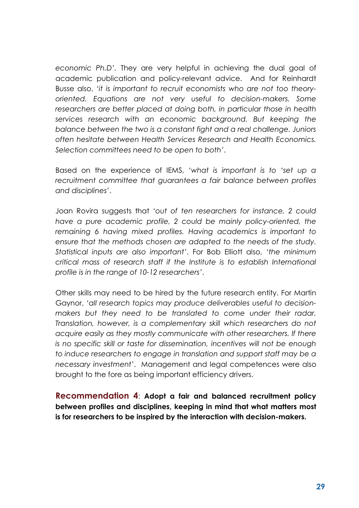*economic Ph.D'.* They are very helpful in achieving the dual goal of academic publication and policy-relevant advice. And for Reinhardt Busse also, *'it is important to recruit economists who are not too theoryoriented. Equations are not very useful to decision-makers. Some researchers are better placed at doing both, in particular those in health services research with an economic background. But keeping the balance between the two is a constant fight and a real challenge. Juniors often hesitate between Health Services Research and Health Economics. Selection committees need to be open to both'*.

Based on the experience of IEMS, *'what is important is to 'set up a recruitment committee that guarantees a fair balance between profiles and disciplines*'.

Joan Rovira suggests that '*out of ten researchers for instance, 2 could have a pure academic profile, 2 could be mainly policy-oriented, the remaining 6 having mixed profiles. Having academics is important to ensure that the methods chosen are adapted to the needs of the study. Statistical inputs are also important'*. For Bob Elliott also, *'the minimum critical mass of research staff if the Institute is to establish International profile is in the range of 10-12 researchers'*.

Other skills may need to be hired by the future research entity. For Martin Gaynor, '*all research topics may produce deliverables useful to decisionmakers but they need to be translated to come under their radar. Translation, however, is a complementary skill which researchers do not acquire easily as they mostly communicate with other researchers. If there is no specific skill or taste for dissemination, incentives will not be enough to induce researchers to engage in translation and support staff may be a necessary investment'*. Management and legal competences were also brought to the fore as being important efficiency drivers.

**Recommendation 4**: **Adopt a fair and balanced recruitment policy between profiles and disciplines, keeping in mind that what matters most is for researchers to be inspired by the interaction with decision-makers.**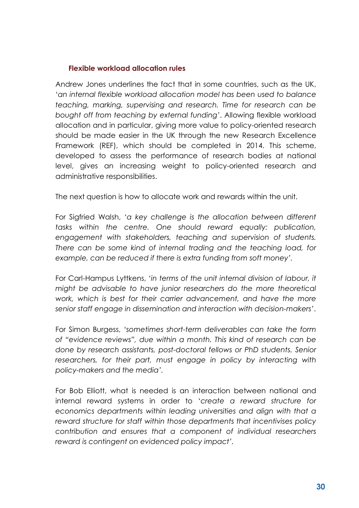#### **Flexible workload allocation rules**

Andrew Jones underlines the fact that in some countries, such as the UK, '*an internal flexible workload allocation model has been used to balance teaching, marking, supervising and research. Time for research can be bought off from teaching by external funding'*. Allowing flexible workload allocation and in particular, giving more value to policy-oriented research should be made easier in the UK through the new Research Excellence Framework (REF), which should be completed in 2014. This scheme, developed to assess the performance of research bodies at national level, gives an increasing weight to policy-oriented research and administrative responsibilities.

The next question is how to allocate work and rewards within the unit.

For Sigfried Walsh, '*a key challenge is the allocation between different tasks within the centre. One should reward equally: publication, engagement with stakeholders, teaching and supervision of students. There can be some kind of internal trading and the teaching load, for example, can be reduced if there is extra funding from soft money'.*

For Carl-Hampus Lyttkens, '*in terms of the unit internal division of labour, it might be advisable to have junior researchers do the more theoretical work, which is best for their carrier advancement, and have the more senior staff engage in dissemination and interaction with decision-makers'*.

For Simon Burgess, *'sometimes short-term deliverables can take the form of "evidence reviews", due within a month. This kind of research can be done by research assistants, post-doctoral fellows or PhD students. Senior*  researchers, for their part, must engage in policy by interacting with *policy-makers and the media'.* 

For Bob Elliott, what is needed is an interaction between national and internal reward systems in order to '*create a reward structure for economics departments within leading universities and align with that a reward structure for staff within those departments that incentivises policy contribution and ensures that a component of individual researchers reward is contingent on evidenced policy impact'.*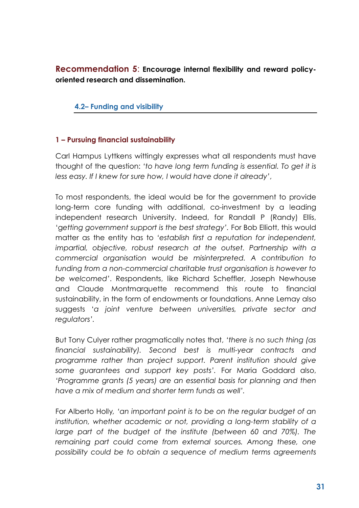**Recommendation 5**: **Encourage internal flexibility and reward policyoriented research and dissemination.**

### **4.2– Funding and visibility**

### **1 – Pursuing financial sustainability**

Carl Hampus Lyttkens wittingly expresses what all respondents must have thought of the question: *'to have long term funding is essential. To get it is less easy. If I knew for sure how, I would have done it already'*,

To most respondents, the ideal would be for the government to provide long-term core funding with additional, co-investment by a leading independent research University. Indeed, for Randall P (Randy) Ellis, 'g*etting government support is the best strategy'.* For Bob Elliott, this would matter as the entity has to *'establish first a reputation for independent, impartial, objective, robust research at the outset. Partnership with a commercial organisation would be misinterpreted. A contribution to funding from a non-commercial charitable trust organisation is however to be welcomed'*. Respondents, like Richard Scheffler, Joseph Newhouse and Claude Montmarquette recommend this route to financial sustainability, in the form of endowments or foundations. Anne Lemay also suggests '*a joint venture between universities, private sector and regulators'.*

But Tony Culyer rather pragmatically notes that, *'there is no such thing (as financial sustainability). Second best is multi-year contracts and programme rather than project support. Parent institution should give some guarantees and support key posts'.* For Maria Goddard also, *'Programme grants (5 years) are an essential basis for planning and then have a mix of medium and shorter term funds as well'.*

For Alberto Holly*, 'an important point is to be on the regular budget of an institution, whether academic or not, providing a long-term stability of a large part of the budget of the institute (between 60 and 70%). The remaining part could come from external sources. Among these, one possibility could be to obtain a sequence of medium terms agreements*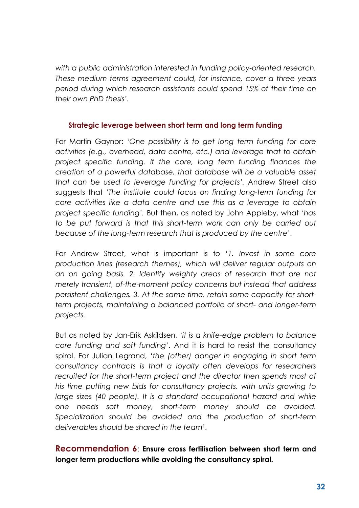*with a public administration interested in funding policy-oriented research. These medium terms agreement could, for instance, cover a three years period during which research assistants could spend 15% of their time on their own PhD thesis'.*

#### **Strategic leverage between short term and long term funding**

For Martin Gaynor: '*One possibility is to get long term funding for core activities (e.g., overhead, data centre, etc.) and leverage that to obtain project specific funding. If the core, long term funding finances the creation of a powerful database, that database will be a valuable asset that can be used to leverage funding for projects'.* Andrew Street also suggests that '*The institute could focus on finding long-term funding for core activities like a data centre and use this as a leverage to obtain project specific funding'.* But then, as noted by John Appleby, what *'has*  to be put forward is that this short-term work can only be carried out *because of the long-term research that is produced by the centre'*.

For Andrew Street, what is important is to '*1. Invest in some core production lines (research themes), which will deliver regular outputs on an on going basis. 2. Identify weighty areas of research that are not merely transient, of-the-moment policy concerns but instead that address persistent challenges. 3. At the same time, retain some capacity for shortterm projects, maintaining a balanced portfolio of short- and longer-term projects.*

But as noted by Jan-Erik Askildsen, '*it is a knife-edge problem to balance core funding and soft funding*'. And it is hard to resist the consultancy spiral. For Julian Legrand, '*the (other) danger in engaging in short term consultancy contracts is that a loyalty often develops for researchers*  recruited for the short-term project and the director then spends most of *his time putting new bids for consultancy projects, with units growing to*  large sizes (40 people). It is a standard occupational hazard and while *one needs soft money, short-term money should be avoided. Specialization should be avoided and the production of short-term deliverables should be shared in the team'*.

# **Recommendation 6**: **Ensure cross fertilisation between short term and longer term productions while avoiding the consultancy spiral.**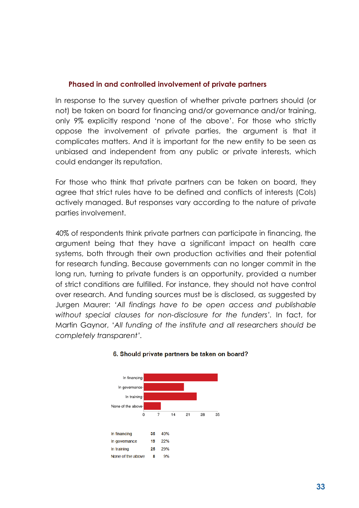### **Phased in and controlled involvement of private partners**

In response to the survey question of whether private partners should (or not) be taken on board for financing and/or governance and/or training, only 9% explicitly respond 'none of the above'. For those who strictly oppose the involvement of private parties, the argument is that it complicates matters. And it is important for the new entity to be seen as unbiased and independent from any public or private interests, which could endanger its reputation.

For those who think that private partners can be taken on board, they agree that strict rules have to be defined and conflicts of interests (CoIs) actively managed. But responses vary according to the nature of private parties involvement.

40% of respondents think private partners can participate in financing, the argument being that they have a significant impact on health care systems, both through their own production activities and their potential for research funding. Because governments can no longer commit in the long run, turning to private funders is an opportunity, provided a number of strict conditions are fulfilled. For instance, they should not have control over research. And funding sources must be is disclosed, as suggested by Jurgen Maurer: *'All findings have to be open access and publishable without special clauses for non-disclosure for the funders'.* In fact, for Martin Gaynor, '*All funding of the institute and all researchers should be completely transparent'.*



#### 6. Should private partners be taken on board?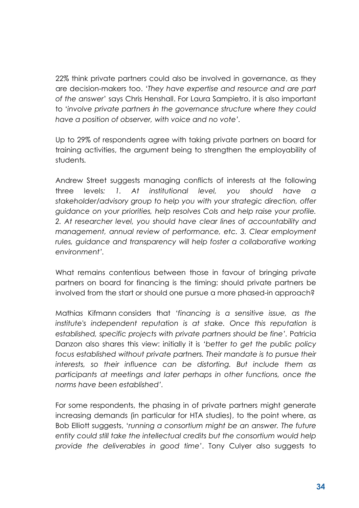22% think private partners could also be involved in governance, as they are decision-makers too. '*They have expertise and resource and are part of the answer*' says Chris Henshall. For Laura Sampietro, it is also important to '*involve private partners in the governance structure where they could have a position of observer, with voice and no vote'.*

Up to 29% of respondents agree with taking private partners on board for training activities, the argument being to strengthen the employability of students*.*

Andrew Street suggests managing conflicts of interests at the following three levels*: 1. At institutional level, you should have a stakeholder/advisory group to help you with your strategic direction, offer guidance on your priorities, help resolves CoIs and help raise your profile. 2. At researcher level, you should have clear lines of accountability and management, annual review of performance, etc. 3. Clear employment*  rules, guidance and transparency will help foster a collaborative working *environment'.*

What remains contentious between those in favour of bringing private partners on board for financing is the timing: should private partners be involved from the start or should one pursue a more phased-in approach?

Mathias Kifmann considers that *'financing is a sensitive issue, as the institute's independent reputation is at stake. Once this reputation is established, specific projects with private partners should be fine'.* Patricia Danzon also shares this view: initially it is *'better to get the public policy*  focus established without private partners. Their mandate is to pursue their *interests, so their influence can be distorting. But include them as participants at meetings and later perhaps in other functions, once the norms have been established'.*

For some respondents, the phasing in of private partners might generate increasing demands (in particular for HTA studies), to the point where, as Bob Elliott suggests, '*running a consortium might be an answer. The future entity could still take the intellectual credits but the consortium would help provide the deliverables in good time'*. Tony Culyer also suggests to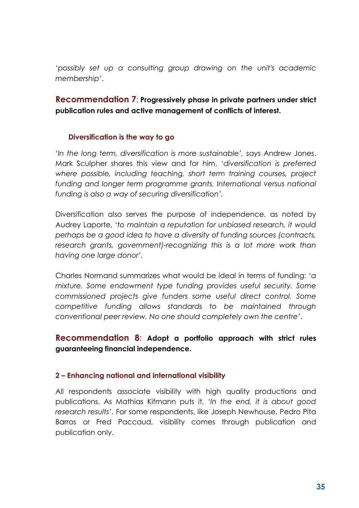'*possibly set up a consulting group drawing on the unit's academic membership'*.

# **Recommendation 7**: **Progressively phase in private partners under strict publication rules and active management of conflicts of interest.**

### **Diversification is the way to go**

'*In the long term, diversification is more sustainable', says* Andrew Jones. Mark Sculpher shares this view and for him, '*diversification is preferred where possible, including teaching, short term training courses, project*  funding and longer term programme grants. International versus national *funding is also a way of securing diversification'.*

Diversification also serves the purpose of independence, as noted by Audrey Laporte, *'to maintain a reputation for unbiased research, it would perhaps be a good idea to have a diversity of funding sources (contracts, research grants, government)-recognizing this is a lot more work than having one large donor'.*

Charles Normand summarizes what would be ideal in terms of funding: '*a mixture. Some endowment type funding provides useful security. Some commissioned projects give funders some useful direct control. Some competitive funding allows standards to be maintained through conventional peer review. No one should completely own the centre'*.

## **Recommendation 8**: **Adopt a portfolio approach with strict rules guaranteeing financial independence.**

### **2 – Enhancing national and international visibility**

All respondents associate visibility with high quality productions and publications. As Mathias Kifmann puts it, '*In the end, it is about good research results'.* For some respondents, like Joseph Newhouse, Pedro Pita Barros or Fred Paccaud, visibility comes through publication and publication only.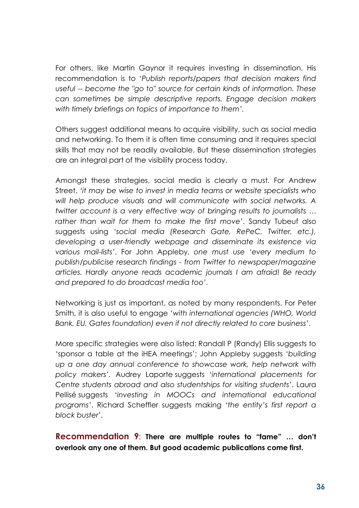For others, like Martin Gaynor it requires investing in dissemination. His recommendation is to '*Publish reports/papers that decision makers find useful -- become the "go to" source for certain kinds of information. These can sometimes be simple descriptive reports. Engage decision makers with timely briefings on topics of importance to them'.*

Others suggest additional means to acquire visibility, such as social media and networking. To them it is often time consuming and it requires special skills that may not be readily available. But these dissemination strategies are an integral part of the visibility process today.

Amongst these strategies, social media is clearly a must. For Andrew Street, *'it may be wise to invest in media teams or website specialists who will help produce visuals and will communicate with social networks. A twitter account is a very effective way of bringing results to journalists … rather than wait for them to make the first move'*. Sandy Tubeuf also suggests using '*social media (Research Gate, RePeC, Twitter, etc.), developing a user-friendly webpage and disseminate its existence via various mail-lists'*. For John Appleby, *one must use 'every medium to publish/publicise research findings - from Twitter to newspaper/magazine articles. Hardly anyone reads academic journals I am afraid! Be ready and prepared to do broadcast media too'*.

Networking is just as important, as noted by many respondents. For Peter Smith, it is also useful to engage '*with international agencies (WHO, World Bank, EU, Gates foundation) even if not directly related to core business'*.

More specific strategies were also listed: Randall P (Randy) Ellis suggests to 'sponsor a table at the iHEA meetings'; John Appleby suggests '*building up a one day annual conference to showcase work, help network with policy makers'.* Audrey Laporte suggests '*international placements for Centre students abroad and also studentships for visiting students'*. Laura Pellisé suggests '*investing in MOOCs and international educational programs'*. Richard Scheffler suggests making *'the entity's first report a block buster*'.

**Recommendation 9**: **There are multiple routes to "fame" … don't overlook any one of them. But good academic publications come first.**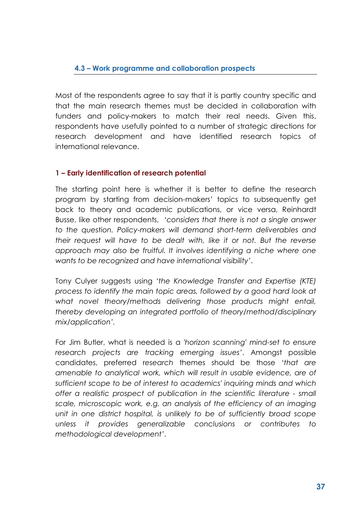### **4.3 – Work programme and collaboration prospects**

Most of the respondents agree to say that it is partly country specific and that the main research themes must be decided in collaboration with funders and policy-makers to match their real needs. Given this, respondents have usefully pointed to a number of strategic directions for research development and have identified research topics of international relevance.

### **1 – Early identification of research potential**

The starting point here is whether it is better to define the research program by starting from decision-makers' topics to subsequently get back to theory and academic publications, or vice versa, Reinhardt Busse, like other respondents, '*considers that there is not a single answer to the question. Policy-makers will demand short-term deliverables and their request will have to be dealt with, like it or not. But the reverse approach may also be fruitful. It involves identifying a niche where one wants to be recognized and have international visibility'*.

Tony Culyer suggests using '*the Knowledge Transfer and Expertise (KTE) process to identify the main topic areas, followed by a good hard look at what novel theory/methods delivering those products might entail, thereby developing an integrated portfolio of theory/method/disciplinary mix/application'.*

For Jim Butler, what is needed is a *'horizon scanning' mind-set to ensure research projects are tracking emerging issues'*. Amongst possible candidates, preferred r*esearch* themes should be those *'that are amenable to analytical work, which will result in usable evidence, are of sufficient scope to be of interest to academics' inquiring minds and which offer a realistic prospect of publication in the scientific literature - small scale, microscopic work, e.g. an analysis of the efficiency of an imaging unit in one district hospital, is unlikely to be of sufficiently broad scope unless it provides generalizable conclusions or contributes to methodological development'*.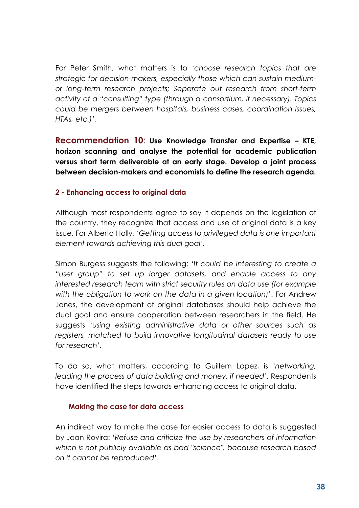For Peter Smith, what matters is to '*choose research topics that are strategic for decision-makers, especially those which can sustain mediumor long-term research projects; Separate out research from short-term activity of a "consulting" type (through a consortium, if necessary). Topics could be mergers between hospitals, business cases, coordination issues, HTAs, etc.)'.*

**Recommendation 10**: **Use Knowledge Transfer and Expertise – KTE, horizon scanning and analyse the potential for academic publication versus short term deliverable at an early stage. Develop a joint process between decision-makers and economists to define the research agenda.**

### **2 - Enhancing access to original data**

Although most respondents agree to say it depends on the legislation of the country, they recognize that access and use of original data is a key issue. For Alberto Holly, *'Getting access to privileged data is one important element towards achieving this dual goal'.*

Simon Burgess suggests the following: '*It could be interesting to create a "user group" to set up larger datasets, and enable access to any interested research team with strict security rules on data use (for example with the obligation to work on the data in a given location)*'. For Andrew Jones, the development of original databases should help achieve the dual goal and ensure cooperation between researchers in the field. He suggests '*using existing administrative data or other sources such as registers, matched to build innovative longitudinal datasets ready to use for research'.*

To do so, what matters, according to Guillem Lopez, is *'networking, leading the process of data building and money, if needed'.* Respondents have identified the steps towards enhancing access to original data.

### **Making the case for data access**

An indirect way to make the case for easier access to data is suggested by Joan Rovira: '*Refuse and criticize the use by researchers of information which is not publicly available as bad "science", because research based on it cannot be reproduced'*.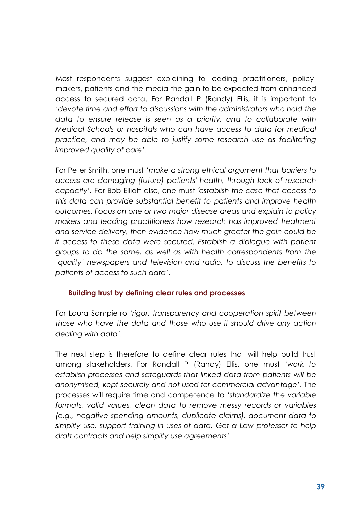Most respondents suggest explaining to leading practitioners, policymakers, patients and the media the gain to be expected from enhanced access to secured data. For Randall P (Randy) Ellis, it is important to '*devote time and effort to discussions with the administrators who hold the data to ensure release is seen as a priority, and to collaborate with Medical Schools or hospitals who can have access to data for medical practice, and may be able to justify some research use as facilitating improved quality of care'.*

For Peter Smith, one must '*make a strong ethical argument that barriers to access are damaging (future) patients' health, through lack of research capacity'.* For Bob Elliott also, one must *'establish the case that access to this data can provide substantial benefit to patients and improve health outcomes. Focus on one or two major disease areas and explain to policy makers and leading practitioners how research has improved treatment and service delivery, then evidence how much greater the gain could be if access to these data were secured. Establish a dialogue with patient groups to do the same, as well as with health correspondents from the 'quality' newspapers and television and radio, to discuss the benefits to patients of access to such data'.*

### **Building trust by defining clear rules and processes**

For Laura Sampietro '*rigor, transparency and cooperation spirit between those who have the data and those who use it should drive any action dealing with data'.*

The next step is therefore to define clear rules that will help build trust among stakeholders. For Randall P (Randy) Ellis, one must '*work to establish processes and safeguards that linked data from patients will be anonymised, kept securely and not used for commercial advantage'.* The processes will require time and competence to '*standardize the variable formats, valid values, clean data to remove messy records or variables (e.g., negative spending amounts, duplicate claims), document data to simplify use, support training in uses of data. Get a Law professor to help draft contracts and help simplify use agreements'.*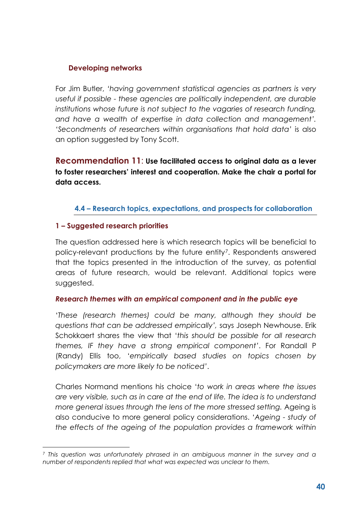### **Developing networks**

For Jim Butler, *'having government statistical agencies as partners is very useful if possible - these agencies are politically independent, are durable institutions whose future is not subject to the vagaries of research funding, and have a wealth of expertise in data collection and management'. 'Secondments of researchers within organisations that hold data'* is also an option suggested by Tony Scott.

**Recommendation 11**: **Use facilitated access to original data as a lever to foster researchers' interest and cooperation. Make the chair a portal for data access.**

### **4.4 – Research topics, expectations, and prospects for collaboration**

### **1 – Suggested research priorities**

 $\overline{a}$ 

The question addressed here is which research topics will be beneficial to policy-relevant productions by the future entity[7](#page-39-0). Respondents answered that the topics presented in the introduction of the survey, as potential areas of future research, would be relevant. Additional topics were suggested.

### *Research themes with an empirical component and in the public eye*

'*These (research themes) could be many, although they should be questions that can be addressed empirically',* says Joseph Newhouse. Erik Schokkaert shares the view that '*this should be possible for all research themes, IF they have a strong empirical component'*. For Randall P (Randy) Ellis too, '*empirically based studies on topics chosen by policymakers are more likely to be noticed'*.

Charles Normand mentions his choice '*to work in areas where the issues are very visible, such as in care at the end of life. The idea is to understand more general issues through the lens of the more stressed setting.* Ageing is also conducive to more general policy considerations. '*Ageing - study of the effects of the ageing of the population provides a framework within* 

<span id="page-39-0"></span><sup>7</sup> *This question was unfortunately phrased in an ambiguous manner in the survey and a number of respondents replied that what was expected was unclear to them.*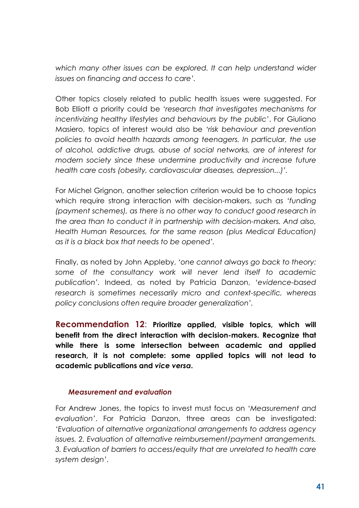*which many other issues can be explored. It can help understand wider issues on financing and access to care'.*

Other topics closely related to public health issues were suggested. For Bob Elliott a priority could be '*research that investigates mechanisms for incentivizing healthy lifestyles and behaviours by the public*'. For Giuliano Masiero, topics of interest would also be *'risk behaviour and prevention policies to avoid health hazards among teenagers. In particular, the use of alcohol, addictive drugs, abuse of social networks, are of interest for modern society since these undermine productivity and increase future health care costs (obesity, cardiovascular diseases, depression...)'.*

For Michel Grignon, another selection criterion would be to choose topics which require strong interaction with decision-makers, such as *'funding (payment schemes), as there is no other way to conduct good research in the area than to conduct it in partnership with decision-makers. And also, Health Human Resources, for the same reason (plus Medical Education) as it is a black box that needs to be opened'.*

Finally, as noted by John Appleby, '*one cannot always go back to theory: some of the consultancy work will never lend itself to academic publication'.* Indeed, as noted by Patricia Danzon, '*evidence-based research is sometimes necessarily micro and context-specific, whereas policy conclusions often require broader generalization'.*

**Recommendation 12**: **Prioritize applied, visible topics, which will benefit from the direct interaction with decision-makers. Recognize that while there is some intersection between academic and applied research, it is not complete: some applied topics will not lead to academic publications and** *vice versa***.**

### *Measurement and evaluation*

For Andrew Jones, the topics to invest must focus on '*Measurement and evaluation'*. For Patricia Danzon, three areas can be investigated: *'Evaluation of alternative organizational arrangements to address agency issues. 2. Evaluation of alternative reimbursement/payment arrangements. 3. Evaluation of barriers to access/equity that are unrelated to health care system design'*.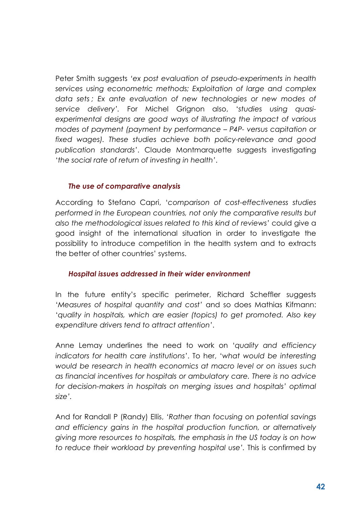Peter Smith suggests *'ex post evaluation of pseudo-experiments in health services using econometric methods; Exploitation of large and complex data sets ; Ex ante evaluation of new technologies or new modes of service delivery'.* For Michel Grignon also, '*studies using quasiexperimental designs are good ways of illustrating the impact of various modes of payment (payment by performance – P4P- versus capitation or fixed wages). These studies achieve both policy-relevance and good publication standards'*. Claude Montmarquette suggests investigating '*the social rate of return of investing in health'*.

### *The use of comparative analysis*

According to Stefano Capri, '*comparison of cost-effectiveness studies performed in the European countries, not only the comparative results but also the methodological issues related to this kind of reviews'* could give a good insight of the international situation in order to investigate the possibility to introduce competition in the health system and to extracts the better of other countries' systems.

### *Hospital issues addressed in their wider environment*

In the future entity's specific perimeter, Richard Scheffler suggests '*Measures of hospital quantity and cost'* and so does Mathias Kifmann: '*quality in hospitals, which are easier (topics) to get promoted. Also key expenditure drivers tend to attract attention'*.

Anne Lemay underlines the need to work on '*quality and efficiency indicators for health care institutions'*. To her, '*what would be interesting would be research in health economics at macro level or on issues such as financial incentives for hospitals or ambulatory care. There is no advice*  for decision-makers in hospitals on merging issues and hospitals' optimal *size'.*

And for Randall P (Randy) Ellis, *'Rather than focusing on potential savings and efficiency gains in the hospital production function, or alternatively giving more resources to hospitals, the emphasis in the US today is on how to reduce their workload by preventing hospital use'.* This is confirmed by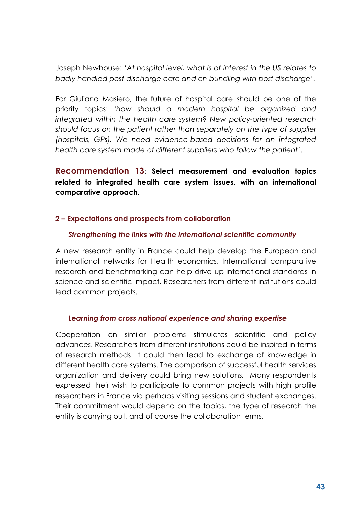Joseph Newhouse: '*At hospital level, what is of interest in the US relates to badly handled post discharge care and on bundling with post discharge'*.

For Giuliano Masiero, the future of hospital care should be one of the priority topics: *'how should a modern hospital be organized and integrated within the health care system? New policy-oriented research should focus on the patient rather than separately on the type of supplier (hospitals, GPs). We need evidence-based decisions for an integrated health care system made of different suppliers who follow the patient'*.

**Recommendation 13**: **Select measurement and evaluation topics related to integrated health care system issues, with an international comparative approach.**

### **2 – Expectations and prospects from collaboration**

### *Strengthening the links with the international scientific community*

A new research entity in France could help develop the European and international networks for Health economics. International comparative research and benchmarking can help drive up international standards in science and scientific impact. Researchers from different institutions could lead common projects.

#### *Learning from cross national experience and sharing expertise*

Cooperation on similar problems stimulates scientific and policy advances. Researchers from different institutions could be inspired in terms of research methods. It could then lead to exchange of knowledge in different health care systems. The comparison of successful health services organization and delivery could bring new solutions*.* Many respondents expressed their wish to participate to common projects with high profile researchers in France via perhaps visiting sessions and student exchanges. Their commitment would depend on the topics, the type of research the entity is carrying out, and of course the collaboration terms.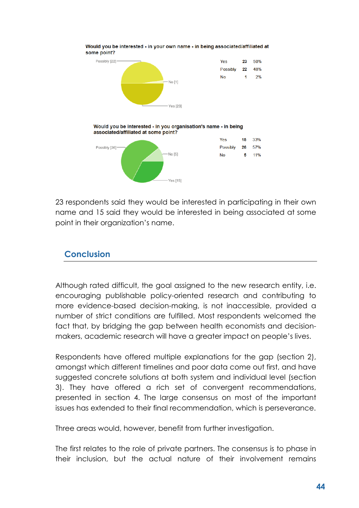

Would you be interested - in your own name - in being associated/affiliated at some point?

23 respondents said they would be interested in participating in their own name and 15 said they would be interested in being associated at some point in their organization's name.

# **Conclusion**

Although rated difficult, the goal assigned to the new research entity, i.e. encouraging publishable policy-oriented research and contributing to more evidence-based decision-making, is not inaccessible, provided a number of strict conditions are fulfilled. Most respondents welcomed the fact that, by bridging the gap between health economists and decisionmakers, academic research will have a greater impact on people's lives.

Respondents have offered multiple explanations for the gap (section 2), amongst which different timelines and poor data come out first, and have suggested concrete solutions at both system and individual level (section 3). They have offered a rich set of convergent recommendations, presented in section 4. The large consensus on most of the important issues has extended to their final recommendation, which is perseverance.

Three areas would, however, benefit from further investigation.

The first relates to the role of private partners. The consensus is to phase in their inclusion, but the actual nature of their involvement remains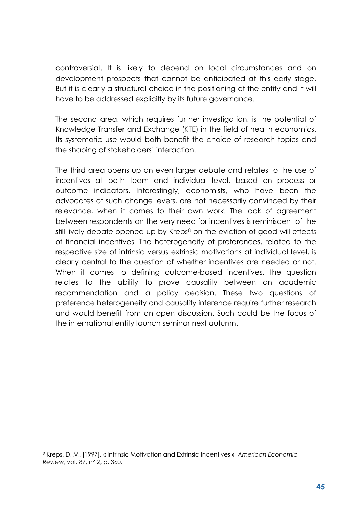controversial. It is likely to depend on local circumstances and on development prospects that cannot be anticipated at this early stage. But it is clearly a structural choice in the positioning of the entity and it will have to be addressed explicitly by its future governance.

The second area, which requires further investigation, is the potential of Knowledge Transfer and Exchange (KTE) in the field of health economics. Its systematic use would both benefit the choice of research topics and the shaping of stakeholders' interaction.

The third area opens up an even larger debate and relates to the use of incentives at both team and individual level, based on process or outcome indicators. Interestingly, economists, who have been the advocates of such change levers, are not necessarily convinced by their relevance, when it comes to their own work. The lack of agreement between respondents on the very need for incentives is reminiscent of the still lively debate opened up by Kreps<sup>[8](#page-44-0)</sup> on the eviction of good will effects of financial incentives. The heterogeneity of preferences, related to the respective size of intrinsic versus extrinsic motivations at individual level, is clearly central to the question of whether incentives are needed or not. When it comes to defining outcome-based incentives, the question relates to the ability to prove causality between an academic recommendation and a policy decision. These two questions of preference heterogeneity and causality inference require further research and would benefit from an open discussion. Such could be the focus of the international entity launch seminar next autumn.

 $\overline{a}$ 

<span id="page-44-0"></span>*<sup>8</sup>* Kreps, D. M. [1997], « Intrinsic Motivation and Extrinsic Incentives », *American Economic Review*, vol. 87, n° 2, p. 360.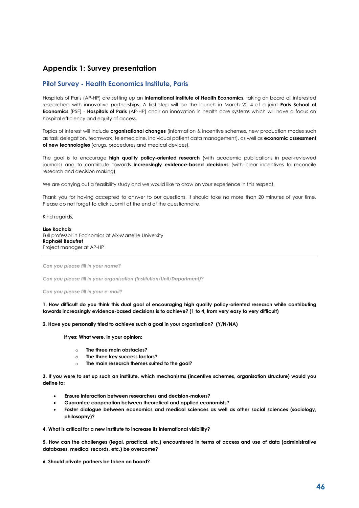#### **Appendix 1: Survey presentation**

#### **Pilot Survey - Health Economics Institute, Paris**

Hospitals of Paris (AP-HP) are setting up an **International Institute of Health Economics**, taking on board all interested researchers with innovative partnerships. A first step will be the launch in March 2014 of a joint **Paris School of Economics** (PSE) - **Hospitals of Paris** (AP-HP) chair on innovation in health care systems which will have a focus on hospital efficiency and equity of access.

Topics of interest will include **organisational changes** (information & incentive schemes, new production modes such as task delegation, teamwork, telemedicine, individual patient data management), as well as **economic assessment of new technologies** (drugs, procedures and medical devices).

The goal is to encourage **high quality policy-oriented research** (with academic publications in peer-reviewed journals) and to contribute towards **increasingly evidence-based decisions** (with clear incentives to reconcile research and decision making).

We are carrying out a feasibility study and we would like to draw on your experience in this respect.

Thank you for having accepted to answer to our questions. It should take no more than 20 minutes of your time. Please do not forget to click submit at the end of the questionnaire.

Kind regards,

**Lise Rochaix** Full professor in Economics at Aix-Marseille University **Raphaël Beaufret** Project manager at AP-HP

*Can you please fill in your name?*

*Can you please fill in your organisation (Institution/Unit/Department)?*

*Can you please fill in your e-mail?*

**1. How difficult do you think this dual goal of encouraging high quality policy-oriented research while contributing towards increasingly evidence-based decisions is to achieve? (1 to 4, from very easy to very difficult)**

**2. Have you personally tried to achieve such a goal in your organisation? (Y/N/NA)**

**If yes: What were, in your opinion:**

- o **The three main obstacles?**
- o **The three key success factors?**
- o **The main research themes suited to the goal?**

**3. If you were to set up such an institute, which mechanisms (incentive schemes, organisation structure) would you define to:**

- **Ensure interaction between researchers and decision-makers?**
- **Guarantee cooperation between theoretical and applied economists?**
- **Foster dialogue between economics and medical sciences as well as other social sciences (sociology, philosophy)?**

**4. What is critical for a new institute to increase its international visibility?**

**5. How can the challenges (legal, practical, etc.) encountered in terms of access and use of data (administrative databases, medical records, etc.) be overcome?**

**6. Should private partners be taken on board?**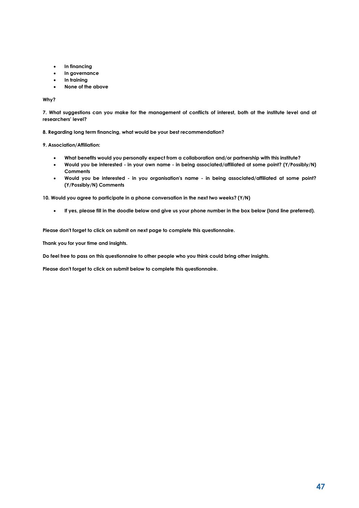- **In financing**
- **In governance**
- **In training**
- **None of the above**

#### **Why?**

**7. What suggestions can you make for the management of conflicts of interest, both at the institute level and at researchers' level?**

**8. Regarding long term financing, what would be your best recommendation?**

**9. Association/Affiliation:**

- **What benefits would you personally expect from a collaboration and/or partnership with this institute?**
- **Would you be interested - in your own name - in being associated/affiliated at some point? (Y/Possibly/N) Comments**
- **Would you be interested - in you organisation's name - in being associated/affiliated at some point? (Y/Possibly/N) Comments**

**10. Would you agree to participate in a phone conversation in the next two weeks? (Y/N)**

• **If yes, please fill in the doodle below and give us your phone number in the box below (land line preferred).**

**Please don't forget to click on submit on next page to complete this questionnaire.**

**Thank you for your time and insights.**

**Do feel free to pass on this questionnaire to other people who you think could bring other insights.**

**Please don't forget to click on submit below to complete this questionnaire.**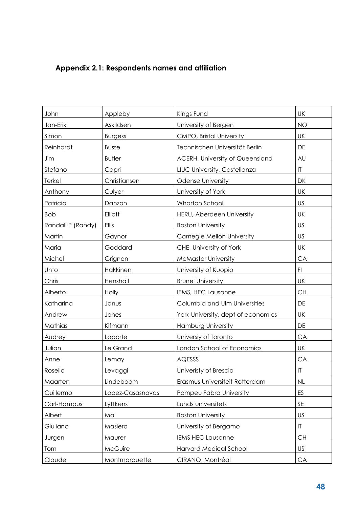# **Appendix 2.1: Respondents names and affiliation**

| John              | Appleby          | Kings Fund                             | UK                     |
|-------------------|------------------|----------------------------------------|------------------------|
| Jan-Erik          | Askildsen        | University of Bergen                   | <b>NO</b>              |
| Simon             | <b>Burgess</b>   | CMPO, Bristol University               | UK                     |
| Reinhardt         | <b>Busse</b>     | Technischen Universität Berlin         | DE                     |
| Jim               | <b>Butler</b>    | <b>ACERH, University of Queensland</b> | AU                     |
| Stefano           | Capri            | LIUC University, Castellanza           | $\mathsf{I}\mathsf{T}$ |
| Terkel            | Christiansen     | <b>Odense University</b>               | DK                     |
| Anthony           | Culyer           | University of York                     | UK                     |
| Patricia          | Danzon           | Wharton School                         | US                     |
| <b>Bob</b>        | Elliott          | HERU, Aberdeen University              | <b>UK</b>              |
| Randall P (Randy) | <b>Ellis</b>     | <b>Boston University</b>               | US                     |
| Martin            | Gaynor           | Carnegie Mellon University             | US                     |
| Maria             | Goddard          | CHE, University of York                | UK                     |
| Michel            | Grignon          | <b>McMaster University</b>             | CA                     |
| Unto              | Hakkinen         | University of Kuopio                   | F1                     |
| Chris             | Henshall         | <b>Brunel University</b>               | <b>UK</b>              |
| Alberto           | Holly            | IEMS, HEC Lausanne                     | <b>CH</b>              |
| Katharina         | Janus            | Columbia and Ulm Universities          | DE                     |
| Andrew            | Jones            | York University, dept of economics     | <b>UK</b>              |
| Mathias           | Kifmann          | <b>Hamburg University</b>              | DE                     |
| Audrey            | Laporte          | Universiy of Toronto                   | CA                     |
| Julian            | Le Grand         | London School of Economics             | UK                     |
| Anne              | Lemay            | AQESSS                                 | CA                     |
| Rosella           | Levaggi          | Univeristy of Brescia                  | T                      |
| Maarten           | Lindeboom        | Erasmus Universiteit Rotterdam         | NL                     |
| Guillermo         | Lopez-Casasnovas | Pompeu Fabra University                | ES                     |
| Carl-Hampus       | Lyttkens         | Lunds universitets                     | SE                     |
| Albert            | Ma               | <b>Boston University</b>               | US                     |
| Giuliano          | Masiero          | University of Bergamo                  | $ \mathsf{T} $         |
| Jurgen            | Maurer           | <b>IEMS HEC Lausanne</b>               | <b>CH</b>              |
| Tom               | McGuire          | Harvard Medical School                 | US                     |
| Claude            | Montmarquette    | CIRANO, Montréal                       | CA                     |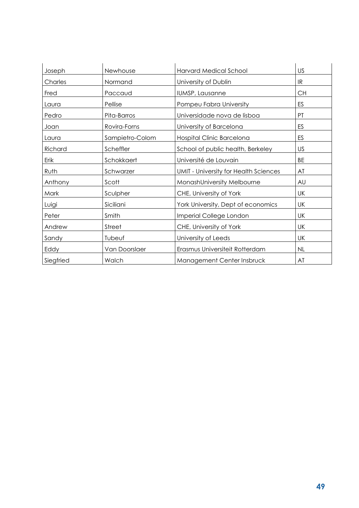| Joseph    | Newhouse        | <b>Harvard Medical School</b>                | US        |
|-----------|-----------------|----------------------------------------------|-----------|
| Charles   | Normand         | University of Dublin                         | IR        |
| Fred      | Paccaud         | IUMSP, Lausanne                              | <b>CH</b> |
| Laura     | Pellise         | Pompeu Fabra University                      | ES        |
| Pedro     | Pita-Barros     | Universidade nova de lisboa                  | PT        |
| Joan      | Rovira-Forns    | University of Barcelona                      | ES        |
| Laura     | Sampietro-Colom | Hospital Clinic Barcelona                    | ES        |
| Richard   | Scheffler       | School of public health, Berkeley            | US        |
| Erik      | Schokkaert      | Université de Louvain                        | <b>BE</b> |
| Ruth      | Schwarzer       | <b>UMIT</b> - University for Health Sciences | AT        |
| Anthony   | Scott           | MonashUniversity Melbourne                   | AU        |
| Mark      | Sculpher        | CHE, University of York                      | UK        |
| Luigi     | Siciliani       | York University, Dept of economics           | <b>UK</b> |
| Peter     | Smith           | Imperial College London                      | UK        |
| Andrew    | Street          | CHE, University of York                      | UK        |
| Sandy     | Tubeuf          | University of Leeds                          | UK        |
| Eddy      | Van Doorslaer   | Erasmus Universiteit Rotterdam               | NL        |
| Siegfried | Walch           | Management Center Insbruck                   | AT        |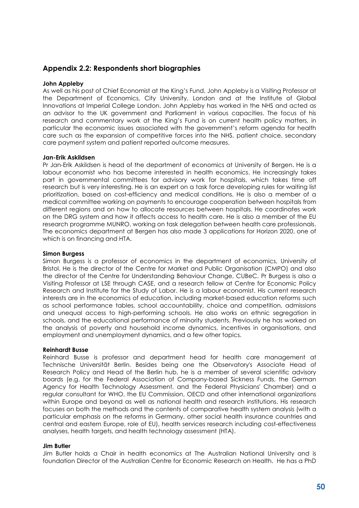#### **Appendix 2.2: Respondents short biographies**

#### **John Appleby**

As well as his post of Chief Economist at the King's Fund, John Appleby is a Visiting Professor at the Department of Economics, City University, London and at the Institute of Global Innovations at Imperial College London. John Appleby has worked in the NHS and acted as an advisor to the UK government and Parliament in various capacities. The focus of his research and commentary work at the King's Fund is on current health policy matters, in particular the economic issues associated with the government's reform agenda for health care such as the expansion of competitive forces into the NHS, patient choice, secondary care payment system and patient reported outcome measures.

#### **Jan-Erik Askildsen**

Pr Jan-Erik Askildsen is head of the department of economics at University of Bergen. He is a labour economist who has become interested in health economics. He increasingly takes part in governmental committees for advisory work for hospitals, which takes time off research but is very interesting. He is an expert on a task force developing rules for waiting list prioritization, based on cost-efficiency and medical conditions. He is also a member of a medical committee working on payments to encourage cooperation between hospitals from different regions and on how to allocate resources between hospitals. He coordinates work on the DRG system and how it affects access to health care. He is also a member of the EU research programme MUNRO, working on task delegation between health care professionals. The economics department at Bergen has also made 3 applications for Horizon 2020, one of which is on financing and HTA.

#### **Simon Burgess**

Simon Burgess is a professor of economics in the department of economics, University of Bristol. He is the director of the Centre for Market and Public Organisation (CMPO) and also the director of the Centre for Understanding Behaviour Change, CUBeC. Pr Burgess is also a Visiting Professor at LSE through CASE, and a research fellow at Centre for Economic Policy Research and Institute for the Study of Labor. He is a labour economist. His current research interests are in the economics of education, including market-based education reforms such as school performance tables, school accountability, choice and competition, admissions and unequal access to high-performing schools. He also works on ethnic segregation in schools, and the educational performance of minority students. Previously he has worked on the analysis of poverty and household income dynamics, incentives in organisations, and employment and unemployment dynamics, and a few other topics.

#### **Reinhardt Busse**

Reinhard Busse is professor and department head for health care management at Technische Universität Berlin. Besides being one the Observatory's Associate Head of Research Policy and Head of the Berlin hub, he is a member of several scientific advisory boards (e.g. for the Federal Association of Company-based Sickness Funds, the German Agency for Health Technology Assessment, and the Federal Physicians' Chamber) and a regular consultant for WHO, the EU Commission, OECD and other international organizations within Europe and beyond as well as national health and research institutions. His research focuses on both the methods and the contents of comparative health system analysis (with a particular emphasis on the reforms in Germany, other social health insurance countries and central and eastern Europe, role of EU), health services research including cost-effectiveness analyses, health targets, and health technology assessment (HTA).

#### **Jim Butler**

Jim Butler holds a Chair in health economics at The Australian National University and is foundation Director of the Australian Centre for Economic Research on Health. He has a PhD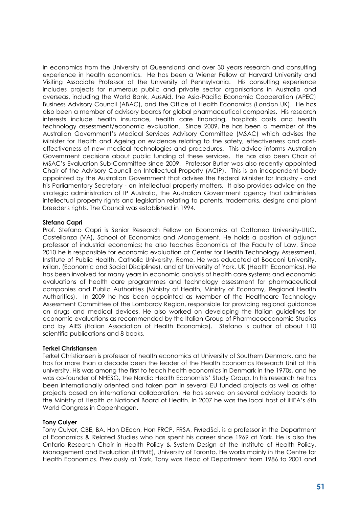in economics from the University of Queensland and over 30 years research and consulting experience in health economics. He has been a Wiener Fellow at Harvard University and Visiting Associate Professor at the University of Pennsylvania. His consulting experience includes projects for numerous public and private sector organisations in Australia and overseas, including the World Bank, AusAid, the Asia-Pacific Economic Cooperation (APEC) Business Advisory Council (ABAC), and the Office of Health Economics (London UK). He has also been a member of advisory boards for global pharmaceutical companies. His research interests include health insurance, health care financing, hospitals costs and health technology assessment/economic evaluation. Since 2009, he has been a member of the Australian Government's Medical Services Advisory Committee (MSAC) which advises the Minister for Health and Ageing on evidence relating to the safety, effectiveness and costeffectiveness of new medical technologies and procedures. This advice informs Australian Government decisions about public funding of these services. He has also been Chair of MSAC's Evaluation Sub-Committee since 2009. Professor Butler was also recently appointed Chair of the Advisory Council on Intellectual Property (ACIP). This is an independent body appointed by the Australian Government that advises the Federal Minister for Industry - and his Parliamentary Secretary - on intellectual property matters. It also provides advice on the strategic administration of IP Australia, the Australian Government agency that administers intellectual property rights and legislation relating to patents, trademarks, designs and plant breeder's rights. The Council was established in 1994.

#### **Stefano Capri**

Prof. Stefano Capri is Senior Research Fellow on Economics at Cattaneo University-LIUC, Castellanza (VA), School of Economics and Management. He holds a position of adjunct professor of industrial economics; he also teaches Economics at the Faculty of Law. Since 2010 he is responsible for economic evaluation at Center for Health Technology Assessment, Institute of Public Health, Catholic University, Rome. He was educated at Bocconi University, Milan, (Economic and Social Disciplines), and at University of York, UK (Health Economics). He has been involved for many years in economic analysis of health care systems and economic evaluations of health care programmes and technology assessment for pharmaceutical companies and Public Authorities (Ministry of Health, Ministry of Economy, Regional Health Authorities). In 2009 he has been appointed as Member of the Healthcare Technology Assessment Committee of the Lombardy Region, responsible for providing regional guidance on drugs and medical devices. He also worked on developing the Italian guidelines for economic evaluations as recommended by the Italian Group of Pharmacoeconomic Studies and by AIES (Italian Association of Health Economics). Stefano is author of about 110 scientific publications and 8 books.

#### **Terkel Christiansen**

Terkel Christiansen is professor of health economics at University of Southern Denmark, and he has for more than a decade been the leader of the Health Economics Research Unit at this university. His was among the first to teach health economics in Denmark in the 1970s, and he was co-founder of NHESG, the Nordic Health Economists' Study Group. In his research he has been internationally oriented and taken part in several EU funded projects as well as other projects based on international collaboration. He has served on several advisory boards to the Ministry of Health or National Board of Health. In 2007 he was the local host of iHEA's 6th World Congress in Copenhagen.

#### **Tony Culyer**

Tony Culyer, CBE, BA, Hon DEcon, Hon FRCP, FRSA, FMedSci, is a professor in the Department of Economics & Related Studies who has spent his career since 1969 at York. He is also the Ontario Research Chair in Health Policy & System Design at the Institute of Health Policy, Management and Evaluation (IHPME), University of Toronto. He works mainly in the Centre for Health Economics. Previously at York, Tony was Head of Department from 1986 to 2001 and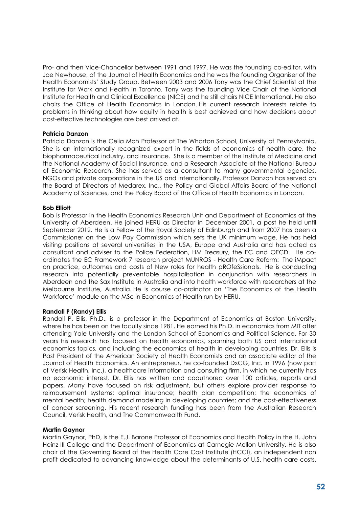Pro- and then Vice-Chancellor between 1991 and 1997. He was the founding co-editor, with Joe Newhouse, of the Journal of Health Economics and he was the founding Organiser of the Health Economists' Study Group. Between 2003 and 2006 Tony was the Chief Scientist at the Institute for Work and Health in Toronto. Tony was the founding Vice Chair of the National Institute for Health and Clinical Excellence (NICE) and he still chairs NICE International. He also chairs the Office of Health Economics in London. His current research interests relate to problems in thinking about how equity in health is best achieved and how decisions about cost-effective technologies are best arrived at.

#### **Patricia Danzon**

Patricia Danzon is the Celia Moh Professor at The Wharton School, University of Pennsylvania. She is an internationally recognized expert in the fields of economics of health care, the biopharmaceutical industry, and insurance. She is a member of the Institute of Medicine and the National Academy of Social Insurance, and a Research Associate at the National Bureau of Economic Research. She has served as a consultant to many governmental agencies, NGOs and private corporations in the US and internationally. Professor Danzon has served on the Board of Directors of Medarex, Inc., the Policy and Global Affairs Board of the National Academy of Sciences, and the Policy Board of the Office of Health Economics in London.

#### **Bob Elliott**

Bob is Professor in the Health Economics Research Unit and Department of Economics at the University of Aberdeen. He joined HERU as Director in December 2001, a post he held until September 2012. He is a Fellow of the Royal Society of Edinburgh and from 2007 has been a Commissioner on the [Low Pay Commission](https://www.gov.uk/government/organisations/low-pay-commission) which sets the UK minimum wage. He has held visiting positions at several universities in the USA, Europe and Australia and has acted as consultant and adviser to the Police Federation, HM Treasury, the EC and OECD. He coordinates the EC Framework 7 research project MUNROS - Health Care Reform: The iMpact on practice, oUtcomes and costs of New roles for health pROfeSsionals. He is conducting research into potentially preventable hospitalisation in conjunction with researchers in Aberdeen and the Sax Institute in Australia and into health workforce with researchers at the Melbourne Institute, Australia. He is course co-ordinator on 'The Economics of the Health Workforce' module on the MSc in Economics of Health run by HERU.

#### **Randall P (Randy) Ellis**

Randall P. Ellis, Ph.D., is a professor in the Department of Economics at Boston University, where he has been on the faculty since 1981. He earned his Ph.D. in economics from MIT after attending Yale University and the London School of Economics and Political Science. For 30 years his research has focused on health economics, spanning both US and international economics topics, and including the economics of health in developing countries. Dr. Ellis is Past President of the American Society of Health Economists and an associate editor of the Journal of Health Economics. An entrepreneur, he co-founded DxCG, Inc. in 1996 (now part of Verisk Health, Inc.), a healthcare information and consulting firm, in which he currently has no economic interest. Dr. Ellis has written and coauthored over 100 articles, reports and papers. Many have focused on risk adjustment, but others explore provider response to reimbursement systems; optimal insurance; health plan competition; the economics of mental health; health demand modeling in developing countries; and the cost-effectiveness of cancer screening. His recent research funding has been from the Australian Research Council, Verisk Health, and The Commonwealth Fund.

#### **Martin Gaynor**

Martin Gaynor, PhD, is the E.J. Barone Professor of Economics and Health Policy in the H. John Heinz III College and the Department of Economics at Carnegie Mellon University. He is also chair of the Governing Board of the Health Care Cost Institute (HCCI), an independent non profit dedicated to advancing knowledge about the determinants of U.S. health care costs.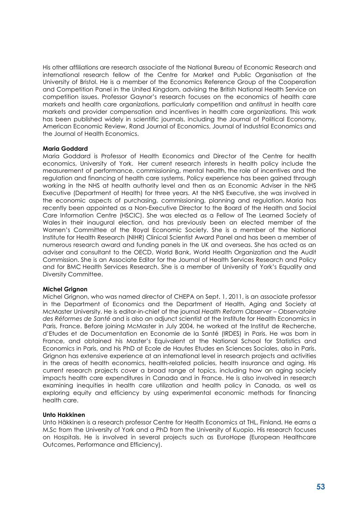His other affiliations are research associate of the National Bureau of Economic Research and international research fellow of the Centre for Market and Public Organisation at the University of Bristol. He is a member of the Economics Reference Group of the Cooperation and Competition Panel in the United Kingdom, advising the British National Health Service on competition issues. Professor Gaynor's research focuses on the economics of health care markets and health care organizations, particularly competition and antitrust in health care markets and provider compensation and incentives in health care organizations. This work has been published widely in scientific journals, including the Journal of Political Economy, American Economic Review, Rand Journal of Economics, Journal of Industrial Economics and the Journal of Health Economics.

#### **Maria Goddard**

Maria Goddard is Professor of Health Economics and Director of the Centre for health economics, University of York. Her current research interests in health policy include the measurement of performance, commissioning, mental health, the role of incentives and the regulation and financing of health care systems. Policy experience has been gained through working in the NHS at health authority level and then as an Economic Adviser in the NHS Executive (Department of Health) for three years. At the NHS Executive, she was involved in the economic aspects of purchasing, commissioning, planning and regulation. Maria has recently been appointed as a Non-Executive Director to the Board of the Health and Social Care Information Centre (HSCIC). She was elected as a Fellow of The Learned Society of Wales in their inaugural election, and has previously been an elected member of the Women's Committee of the Royal Economic Society. She is a member of the National Institute for Health Research (NIHR) Clinical Scientist Award Panel and has been a member of numerous research award and funding panels in the UK and overseas. She has acted as an adviser and consultant to the OECD, World Bank, World Health Organization and the Audit Commission. She is an Associate Editor for the Journal of Health Services Research and Policy and for BMC Health Services Research. She is a member of University of York's Equality and Diversity Committee.

#### **Michel Grignon**

Michel Grignon, who was named director of CHEPA on Sept. 1, 2011, is an associate professor in the Department of Economics and the Department of Health, Aging and Society at McMaster University. He is editor-in-chief of the journal *Health Reform Observer – Observatoire des Réformes de Santé* and is also an adjunct scientist at the Institute for Health Economics in Paris, France. Before joining McMaster in July 2004, he worked at the Institut de Recherche, d'Etudes et de Documentation en Economie de la Santé (IRDES) in Paris. He was born in France, and obtained his Master's Equivalent at the National School for Statistics and Economics in Paris, and his PhD at Ecole de Hautes Etudes en Sciences Sociales, also in Paris. Grignon has extensive experience at an international level in research projects and activities in the areas of health economics, health-related policies, health insurance and aging. His current research projects cover a broad range of topics, including how an aging society impacts health care expenditures in Canada and in France. He is also involved in research examining inequities in health care utilization and health policy in Canada, as well as exploring equity and efficiency by using experimental economic methods for financing health care.

#### **Unto Hakkinen**

Unto Häkkinen is a research professor Centre for Health Economics at THL, Finland. He earns a M.Sc from the University of York and a PhD from the University of Kuopio. His research focuses on Hospitals. He is involved in several projects such as EuroHope (European Healthcare Outcomes, Performance and Efficiency).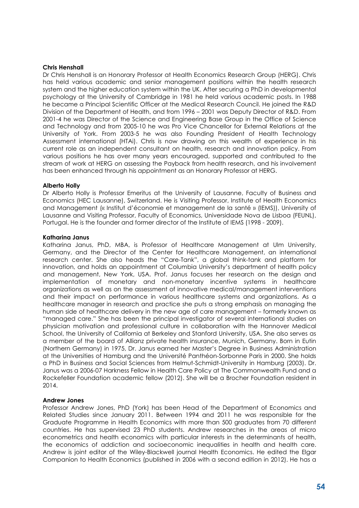#### **Chris Henshall**

Dr Chris Henshall is an Honorary Professor at Health Economics Research Group (HERG). Chris has held various academic and senior management positions within the health research system and the higher education system within the UK. After securing a PhD in developmental psychology at the University of Cambridge in 1981 he held various academic posts. In 1988 he became a Principal Scientific Officer at the Medical Research Council. He joined the R&D Division of the Department of Health, and from 1996 – 2001 was Deputy Director of R&D. From 2001-4 he was Director of the Science and Engineering Base Group in the Office of Science and Technology and from 2005-10 he was Pro Vice Chancellor for External Relations at the University of York. From 2003-5 he was also Founding President of Health Technology Assessment international (HTAi). Chris is now drawing on this wealth of experience in his current role as an independent consultant on health, research and innovation policy. From various positions he has over many years encouraged, supported and contributed to the stream of work at HERG on assessing the Payback from health research, and his involvement has been enhanced through his appointment as an Honorary Professor at HERG.

#### **Alberto Holly**

Dr Alberto Holly is Professor Emeritus at the University of Lausanne, Faculty of Business and Economics (HEC Lausanne), Switzerland. He is Visiting Professor, Institute of Health Economics and Management (« Institut d'économie et management de la santé » (IEMS)), University of Lausanne and Visiting Professor, Faculty of Economics, Universidade Nova de Lisboa (FEUNL), Portugal. He is the founder and former director of the Institute of IEMS (1998 - 2009).

#### **Katharina Janus**

Katharina Janus, PhD, MBA, is Professor of Healthcare Management at Ulm University, Germany, and the Director of the Center for Healthcare Management, an international research center. She also heads the "Care-Tank", a global think-tank and platform for innovation, and holds an appointment at Columbia University's department of health policy and management, New York, USA. Prof. Janus focuses her research on the design and implementation of monetary and non-monetary incentive systems in healthcare organizations as well as on the assessment of innovative medical/management interventions and their impact on performance in various healthcare systems and organizations. As a healthcare manager in research and practice she puts a strong emphasis on managing the human side of healthcare delivery in the new age of care management – formerly known as "managed care." She has been the principal investigator of several international studies on physician motivation and professional culture in collaboration with the Hannover Medical School, the University of California at Berkeley and Stanford University, USA. She also serves as a member of the board of Allianz private health insurance, Munich, Germany. Born in Eutin (Northern Germany) in 1975, Dr. Janus earned her Master's Degree in Business Administration at the Universities of Hamburg and the Université Panthéon-Sorbonne Paris in 2000. She holds a PhD in Business and Social Sciences from Helmut-Schmidt-University in Hamburg (2003). Dr. Janus was a 2006-07 Harkness Fellow in Health Care Policy at The Commonwealth Fund and a Rockefeller Foundation academic fellow (2012). She will be a Brocher Foundation resident in 2014.

#### **Andrew Jones**

Professor Andrew Jones, PhD (York) has been Head of the Department of Economics and Related Studies since January 2011. Between 1994 and 2011 he was responsible for the Graduate Programme in Health Economics with more than 500 graduates from 70 different countries. He has supervised 23 PhD students. Andrew researches in the areas of micro econometrics and health economics with particular interests in the determinants of health, the economics of addiction and socioeconomic inequalities in health and health care. Andrew is joint editor of the Wiley-Blackwell journal Health Economics. He edited the Elgar Companion to Health Economics (published in 2006 with a second edition in 2012). He has a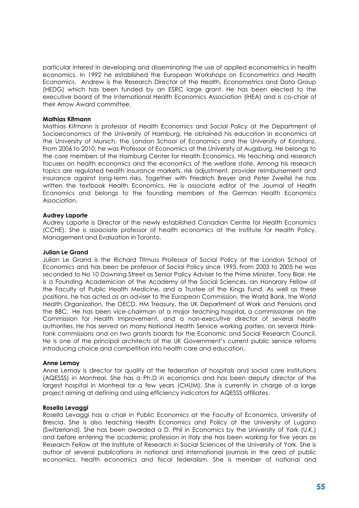particular interest in developing and disseminating the use of applied econometrics in health economics. In 1992 he established the European Workshops on Econometrics and Health Economics. Andrew is the Research Director of the Health, Econometrics and Data Group (HEDG) which has been funded by an ESRC large grant. He has been elected to the executive board of the International Health Economics Association (iHEA) and is co-chair of their Arrow Award committee.

#### **Mathias Kifmann**

Mathias Kifmann is professor of Health Economics and Social Policy at the Department of Socioeconomics of the University of Hamburg. He obtained his education in economics at the University of Munich, the London School of Economics and the University of Konstanz. From 2006 to 2010, he was Professor of Economics at the University of Augsburg. He belongs to the core members of the Hamburg Center for Health Economics. His teaching and research focuses on health economics and the economics of the welfare state. Among his research topics are regulated health insurance markets, risk adjustment, provider reimbursement and insurance against long-term risks. Together with Friedrich Breyer and Peter Zweifel he has written the textbook Health Economics. He is associate editor of the Journal of Health Economics and belongs to the founding members of the German Health Economics Association.

#### **Audrey Laporte**

Audrey Laporte is Director of the newly established Canadian Centre for Health Economics (CCHE). She is associate professor of health economics at the Institute for Health Policy, Management and Evaluation in Toronto.

#### **Julian Le Grand**

Julian Le Grand is the Richard Titmuss Professor of Social Policy at the London School of Economics and has been be professor of Social Policy since 1993. From 2003 to 2005 he was seconded to No 10 Downing Street as Senior Policy Adviser to the Prime Minister, Tony Blair. He is a Founding Academician of the Academy of the Social Sciences, an Honorary Fellow of the Faculty of Public Health Medicine, and a Trustee of the Kings Fund. As well as these positions, he has acted as an adviser to the European Commission, the World Bank, the World Health Organization, the OECD, HM Treasury, the UK Department of Work and Pensions and the BBC. He has been vice-chairman of a major teaching hospital, a commissioner on the Commission for Health Improvement, and a non-executive director of several health authorities. He has served on many National Health Service working parties, on several thinktank commissions and on two grants boards for the Economic and Social Research Council. He is one of the principal architects of the UK Government's current public service reforms introducing choice and competition into health care and education.

#### **Anne Lemay**

Anne Lemay is director for quality at the federation of hospitals and social care institutions (AQESSS) in Montreal. She has a Ph.D in economics and has been deputy director of the largest hospital in Montreal for a few years (CHUM). She is currently in charge of a large project aiming at defining and using efficiency indicators for AQESSS affiliates.

#### **Rosella Levaggi**

Rosella Levaggi has a chair in Public Economics at the Faculty of Economics, University of Brescia. She is also teaching Health Economics and Policy at the University of Lugano (Switzerland). She has been awarded a D. Phil in Economics by the University of York (U.K.) and before entering the academic profession in Italy she has been working for five years as Research Fellow at the Institute of Research in Social Sciences of the University of York. She is author of several publications in national and international journals in the area of public economics, health economics and fiscal federalism. She is member of national and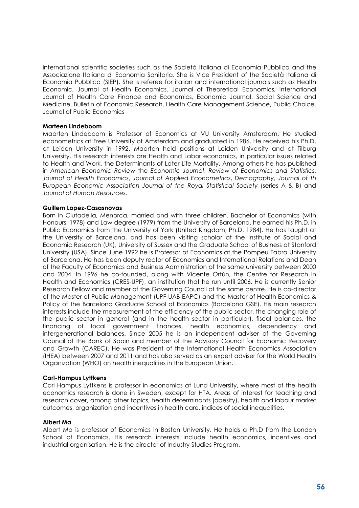international scientific societies such as the Società Italiana di Economia Pubblica and the Associazione Italiana di Economia Sanitaria. She is Vice President of the Società Italiana di Economia Pubblica (SIEP). She is referee for italian and international journals such as Health Economic, Journal of Health Economics, Journal of Theoretical Economics, International Journal of Health Care Finance and Economics, Economic Journal, Social Science and Medicine, Bulletin of Economic Research, Health Care Management Science, Public Choice, Journal of Public Economics

#### **Marteen Lindeboom**

Maarten Lindeboom is Professor of Economics at VU University Amsterdam. He studied econometrics at Free University of Amsterdam and graduated in 1986. He received his Ph.D. at Leiden University in 1992. Maarten held positions at Leiden University and at Tilburg University. His research interests are Health and Labor economics, in particular issues related to Health and Work, the Determinants of Later Life Mortality. Among others he has published in *American Economic Review* the *Economic Journal*, *Review of Economics and Statistics*, *Journal of Health Economics*, *Journal of Applied Econometrics*, *Demography*, *Journal of th European Economic Association Journal of the Royal Statistical Society* (series A & B) and *Journal of Human Resources*.

#### **Guillem Lopez-Casasnovas**

Born in Ciutadella, Menorca, married and with three children. Bachelor of Economics (with Honours, 1978) and Law degree (1979) from the University of Barcelona, he earned his Ph.D. in Public Economics from the University of York (United Kingdom, Ph.D. 1984). He has taught at the University of Barcelona, and has been visiting scholar at the Institute of Social and Economic Research (UK), University of Sussex and the Graduate School of Business at Stanford University (USA). Since June 1992 he is Professor of Economics at the Pompeu Fabra University of Barcelona. He has been deputy rector of Economics and International Relations and Dean of the Faculty of Economics and Business Administration of the same university between 2000 and 2004. In 1996 he co-founded, along with Vicente Ortún, the Centre for Research in Health and Economics (CRES-UPF), an institution that he run until 2006. He is currently Senior Research Fellow and member of the Governing Council of the same centre. He is co-director of the Master of Public Management (UPF-UAB-EAPC) and the Master of Health Economics & Policy of the Barcelona Graduate School of Economics (Barcelona GSE). His main research interests include the measurement of the efficiency of the public sector, the changing role of the public sector in general (and in the health sector in particular), fiscal balances, the financing of local government finances, health economics, dependency and intergenerational balances. Since 2005 he is an independent adviser of the Governing Council of the Bank of Spain and member of the Advisory Council for Economic Recovery and Growth (CAREC). He was President of the International Health Economics Association (IHEA) between 2007 and 2011 and has also served as an expert adviser for the World Health Organization (WHO) on health inequalities in the European Union.

#### **Carl-Hampus Lyttkens**

Carl Hampus Lyttkens is professor in economics at Lund University, where most of the health economics research is done in Sweden, except for HTA. Areas of interest for teaching and research cover, among other topics, health determinants (obesity), health and labour market outcomes, organization and incentives in health care, indices of social inequalities.

#### **Albert Ma**

Albert Ma is professor of Economics in Boston University. He holds a Ph.D from the London School of Economics. His research interests include health economics, incentives and industrial organisation. He is the director of Industry Studies Program.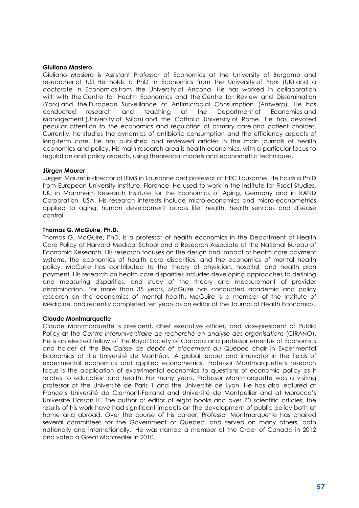#### **Giuliano Masiero**

Giuliano Masiero is Assistant Professor of Economics at the University of Bergamo and researcher at USI. He holds a PhD in Economics from the University of York (UK) and a doctorate in Economics from the University of Ancona. He has worked in collaboration with with the Centre for Health Economics and the Centre for Review and Dissemination (York) and the European Surveillance of Antimicrobial Consumption (Antwerp). He has conducted research and teaching at the Department of Economics and Management (University of Milan) and the Catholic University of Rome. He has devoted peculiar attention to the economics and regulation of primary care and patient choices. Currently, he studies the dynamics of antibiotic consumption and the efficiency aspects of long-term care. He has published and reviewed articles in the main journals of health economics and policy. His main research area is health economics, with a particular focus to regulation and policy aspects, using theoretical models and econometric techniques.

#### **Jürgen Maurer**

Jürgen Maurer is director of IEMS in Lausanne and professor at HEC Lausanne. He holds a Ph.D from European University Institute, Florence. He used to work in the Institute for Fiscal Studies, UK, in Mannheim Research Institute for the Economics of Aging, Germany and in RAND Corporation, USA. His research interests include micro-economics and micro-econometrics applied to aging, human development across life, health, health services and disease control.

#### **Thomas G. McGuire, Ph.D.**

Thomas G. McGuire, PhD, is a professor of health economics in the Department of Health Care Policy at Harvard Medical School and a Research Associate at the National Bureau of Economic Research. His research focuses on the design and impact of health care payment systems, the economics of health care disparities, and the economics of mental health policy. McGuire has contributed to the theory of physician, hospital, and health plan payment. His research on health care disparities includes developing approaches to defining and measuring disparities, and study of the theory and measurement of provider discrimination. For more than 35 years, McGuire has conducted academic and policy research on the economics of mental health. McGuire is a member of the Institute of Medicine, and recently completed ten years as an editor of the Journal of Health Economics.

#### **Claude Montmarquette**

Claude Montmarquette is president, chief executive officer, and vice-president of Public Policy at the *Centre interuniversitaire de recherché en analyse des organisations* (CIRANO). He is an elected fellow of the Royal Society of Canada and professor emeritus of Economics and holder of the *Bell-Caisse de dépôt et placement du Québec* chair in Experimental Economics at the Université de Montréal. A global leader and innovator in the fields of experimental economics and applied econometrics, Professor Montmarquette's research focus is the application of experimental economics to questions of economic policy as it relates to education and health. For many years, Professor Montmarquette was a visiting professor at the Université de Paris 1 and the Université de Lyon. He has also lectured at France's Université de Clermont-Ferrand and Université de Montpellier and at Morocco's Université Hassan II. The author or editor of eight books and over 70 scientific articles, the results of his work have had significant impacts on the development of public policy both at home and abroad. Over the course of his career, Professor Montmarquette has chaired several committees for the Government of Quebec, and served on many others, both nationally and internationally. He was named a member of the Order of Canada in 2012 and voted a Great Montrealer in 2010.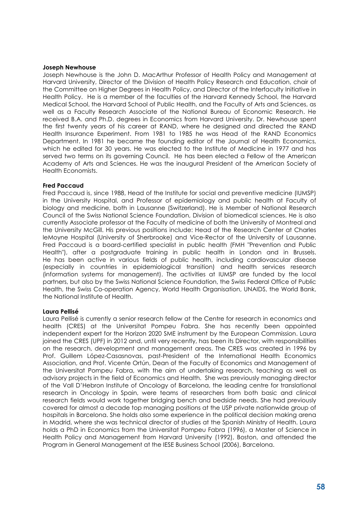#### **Joseph Newhouse**

Joseph Newhouse is the John D. MacArthur Professor of Health Policy and Management at Harvard University, Director of the Division of Health Policy Research and Education, chair of the Committee on Higher Degrees in Health Policy, and Director of the Interfaculty Initiative in Health Policy. He is a member of the faculties of the Harvard Kennedy School, the Harvard Medical School, the Harvard School of Public Health, and the Faculty of Arts and Sciences, as well as a Faculty Research Associate of the National Bureau of Economic Research. He received B.A. and Ph.D. degrees in Economics from Harvard University. Dr. Newhouse spent the first twenty years of his career at RAND, where he designed and directed the RAND Health Insurance Experiment. From 1981 to 1985 he was Head of the RAND Economics Department. In 1981 he became the founding editor of the Journal of Health Economics, which he edited for 30 years. He was elected to the Institute of Medicine in 1977 and has served two terms on its governing Council. He has been elected a Fellow of the American Academy of Arts and Sciences. He was the inaugural President of the American Society of Health Economists.

#### **Fred Paccaud**

Fred Paccaud is, since 1988, Head of the Institute for social and preventive medicine (IUMSP) in the University Hospital, and Professor of epidemiology and public health at Faculty of biology and medicine, both in Lausanne (Switzerland). He is Member of National Research Council of the Swiss National Science Foundation, Division of biomedical sciences. He is also currently Associate professor at the Faculty of medicine of both the University of Montreal and the University McGill. His previous positions include: Head of the Research Center at Charles leMoyne Hospital (University of Sherbrooke) and Vice-Rector of the University of Lausanne. Fred Paccaud is a board-certified specialist in public health (FMH "Prevention and Public Health"), after a postgraduate training in public health in London and in Brussels. He has been active in various fields of public health, including cardiovascular disease (especially in countries in epidemiological transition) and health services research (information systems for management). The activities at IUMSP are funded by the local partners, but also by the Swiss National Science Foundation, the Swiss Federal Office of Public Health, the Swiss Co-operation Agency, World Health Organisation, UNAIDS, the World Bank, the National Institute of Health.

#### **Laura Pellisé**

Laura Pellisé is currently a senior research fellow at the Centre for research in economics and health (CRES) at the Universitat Pompeu Fabra. She has recently been appointed independent expert for the Horizon 2020 SME instrument by the European Commission. Laura joined the CRES (UPF) in 2012 and, until very recently, has been its Director, with responsibilities on the research, development and management areas. The CRES was created in 1996 by Prof. Guillem López-Casasnovas, past-President of the International Health Economics Association, and Prof. Vicente Ortún, Dean of the Faculty of Economics and Management of the Universitat Pompeu Fabra, with the aim of undertaking research, teaching as well as advisory projects in the field of Economics and Health. She was previously managing director of the Vall D'Hebron Institute of Oncology of Barcelona, the leading centre for translational research in Oncology in Spain, were teams of researchers from both basic and clinical research fields would work together bridging bench and bedside needs. She had previously covered for almost a decade top managing positions at the USP private nationwide group of hospitals in Barcelona. She holds also some experience in the political decision making arena in Madrid, where she was technical director of studies at the Spanish Ministry of Health. Laura holds a PhD in Economics from the Universitat Pompeu Fabra (1996), a Master of Science in Health Policy and Management from Harvard University (1992), Boston, and attended the Program in General Management at the IESE Business School (2006), Barcelona.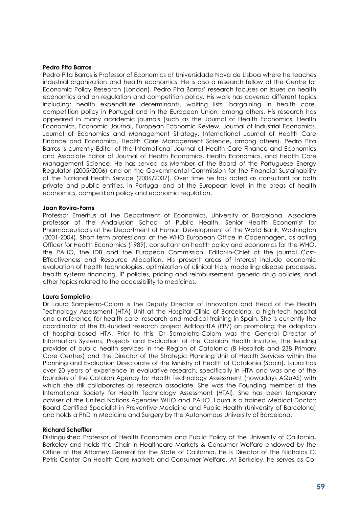#### **Pedro Pita Barros**

Pedro Pita Barros is Professor of Economics at Universidade Nova de Lisboa where he teaches industrial organization and health economics. He is also a research fellow at the Centre for Economic Policy Research (London). Pedro Pita Barros' research focuses on issues on health economics and on regulation and competition policy. His work has covered different topics including: health expenditure determinants, waiting lists, bargaining in health care, competition policy in Portugal and in the European Union, among others. His research has appeared in many academic journals (such as the Journal of Health Economics, Health Economics, Economic Journal, European Economic Review, Journal of Industrial Economics, Journal of Economics and Management Strategy, International Journal of Health Care Finance and Economics, Health Care Management Science, among others). Pedro Pita Barros is currently Editor of the International Journal of Health Care Finance and Economics and Associate Editor of Journal of Health Economics, Health Economics, and Health Care Management Science. He has served as Member of the Board of the Portuguese Energy Regulator (2005/2006) and on the Governmental Commission for the Financial Sustainability of the National Health Service (2006/2007). Over time he has acted as consultant for both private and public entities, in Portugal and at the European level, in the areas of health economics, competition policy and economic regulation.

#### **Joan Rovira-Forns**

Professor Emeritus at the Department of Economics, University of Barcelona. Associate professor of the Andalusian School of Public Health. Senior Health Economist for Pharmaceuticals at the Department of Human Development of the World Bank, Washington (2001-2004). Short term professional at the WHO European Office in Copenhagen, as acting Officer for Health Economics (1989), consultant on health policy and economics for the WHO, the PAHO, the IDB and the European Commission. Editor-in-Chief of the journal Cost-Effectiveness and Resource Allocation. His present areas of interest include economic evaluation of health technologies, optimization of clinical trials, modelling disease processes, health systems financing, IP policies, pricing and reimbursement, generic drug policies, and other topics related to the accessibility to medicines.

#### **Laura Sampietro**

Dr Laura Sampietro-Colom is the Deputy Director of Innovation and Head of the Health Technology Assessment (HTA) Unit at the Hospital Clinic of Barcelona, a high-tech hospital and a reference for health care, research and medical training in Spain. She is currently the coordinator of the EU-funded research project AdHopHTA (FP7) on promoting the adoption of hospital-based HTA. Prior to this, Dr Sampietro-Colom was the General Director of Information Systems, Projects and Evaluation of the Catalan Health Institute, the leading provider of public health services in the Region of Catalonia (8 Hospitals and 238 Primary Care Centres) and the Director of the Strategic Planning Unit of Health Services within the Planning and Evaluation Directorate of the Ministry of Health of Catalonia (Spain). Laura has over 20 years of experience in evaluative research, specifically in HTA and was one of the founders of the Catalan Agency for Health Technology Assessment (nowadays AQuAS) with which she still collaborates as research associate. She was the Founding member of the International Society for Health Technology Assessment (HTAi). She has been temporary adviser of the United Nations Agencies WHO and PAHO. Laura is a trained Medical Doctor; Board Certified Specialist in Preventive Medicine and Public Health (University of Barcelona) and holds a PhD in Medicine and Surgery by the Autonomous University of Barcelona.

#### **Richard Scheffler**

Distinguished Professor of Health Economics and Public Policy at the University of California, Berkeley and holds the Chair in Healthcare Markets & Consumer Welfare endowed by the Office of the Attorney General for the State of California. He is Director of The Nicholas C. Petris Center On Health Care Markets and Consumer Welfare. At Berkeley, he serves as Co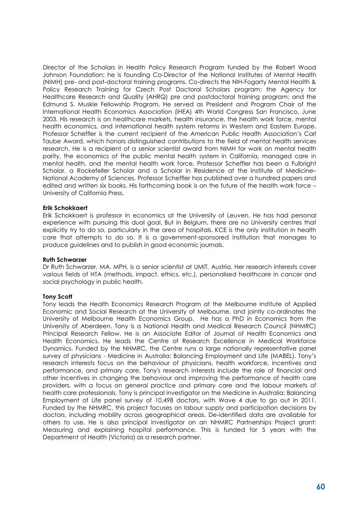Director of the Scholars in Health Policy Research Program funded by the Robert Wood Johnson Foundation; he is founding Co-Director of the National Institutes of Mental Health (NIMH) pre- and post-doctoral training programs. Co-directs the NIH-Fogarty Mental Health & Policy Research Training for Czech Post Doctoral Scholars program; the Agency for Healthcare Research and Quality (AHRQ) pre and postdoctoral training program; and the Edmund S. Muskie Fellowship Program. He served as President and Program Chair of the International Health Economics Association (iHEA) 4th World Congress San Francisco, June 2003. His research is on healthcare markets, health insurance, the health work force, mental health economics, and international health system reforms in Western and Eastern Europe. Professor Scheffler is the current recipient of the American Public Health Association's Carl Taube Award, which honors distinguished contributions to the field of mental health services research. He is a recipient of a senior scientist award from NIMH for work on mental health parity, the economics of the public mental health system in California, managed care in mental health, and the mental health work force. Professor Scheffler has been a Fulbright Scholar, a Rockefeller Scholar and a Scholar in Residence at the Institute of Medicine– National Academy of Sciences. Professor Scheffler has published over a hundred papers and edited and written six books. His forthcoming book is on the future of the health work force -University of California Press.

#### **Erik Schokkaert**

Erik Schokkaert is professor in economics at the University of Leuven. He has had personal experience with pursuing this dual goal. But in Belgium, there are no University centres that explicitly try to do so, particularly in the area of hospitals. [KCE](http://kce.fgov.be/) is the only institution in health care that attempts to do so. It is a government-sponsored institution that manages to produce guidelines and to publish in good economic journals.

#### **Ruth Schwarzer**

Dr Ruth Schwarzer, MA, MPH, is a senior scientist at UMIT, Austria. Her research interests cover various fields of HTA (methods, impact, ethics, etc.), personalised healthcare in cancer and social psychology in public health.

#### **Tony Scott**

Tony leads the Health Economics Research Program at the Melbourne Institute of Applied Economic and Social Research at the University of Melbourne, and jointly co-ordinates the University of Melbourne Health Economics Group. He has a PhD in Economics from the University of Aberdeen. Tony is a National Health and Medical Research Council (NHMRC) Principal Research Fellow. He is an Associate Editor of Journal of Health Economics and Health Economics. He leads the Centre of Research Excellence in Medical Workforce Dynamics. Funded by the NHMRC, the Centre runs a large nationally representative panel survey of physicians - Medicine in Australia: Balancing Employment and Life (MABEL). Tony's research interests focus on the behaviour of physicians, health workforce, incentives and performance, and primary care. Tony's research interests include the role of financial and other incentives in changing the behaviour and improving the performance of health care providers, with a focus on general practice and primary care and the labour markets of health care professionals. Tony is principal investigator on the Medicine in Australia: Balancing Employment of Life panel survey of 10,498 doctors, with Wave 4 due to go out in 2011. Funded by the NHMRC, this project focuses on labour supply and participation decisions by doctors, including mobility across geographical areas. De-identified data are available for others to use. He is also principal investigator on an NHMRC Partnerships Project grant: Measuring and explaining hospital performance. This is funded for 5 years with the Department of Health (Victoria) as a research partner.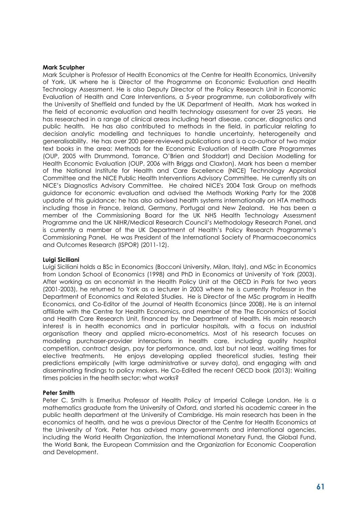#### **Mark Sculpher**

Mark Sculpher is Professor of Health Economics at the Centre for Health Economics, University of York, UK where he is Director of the Programme on Economic Evaluation and Health Technology Assessment. He is also Deputy Director of the Policy Research Unit in Economic Evaluation of Health and Care Interventions, a 5-year programme, run collaboratively with the University of Sheffield and funded by the UK Department of Health. Mark has worked in the field of economic evaluation and health technology assessment for over 25 years. He has researched in a range of clinical areas including heart disease, cancer, diagnostics and public health. He has also contributed to methods in the field, in particular relating to decision analytic modelling and techniques to handle uncertainty, heterogeneity and generalisability. He has over 200 peer-reviewed publications and is a co-author of two major text books in the area: Methods for the Economic Evaluation of Health Care Programmes (OUP, 2005 with Drummond, Torrance, O'Brien and Stoddart) and Decision Modelling for Health Economic Evaluation (OUP, 2006 with Briggs and Claxton). Mark has been a member of the National Institute for Health and Care Excellence (NICE) Technology Appraisal Committee and the NICE Public Health Interventions Advisory Committee. He currently sits on NICE's Diagnostics Advisory Committee. He chaired NICE's 2004 Task Group on methods guidance for economic evaluation and advised the Methods Working Party for the 2008 update of this guidance; he has also advised health systems internationally on HTA methods including those in France, Ireland, Germany, Portugal and New Zealand. He has been a member of the Commissioning Board for the UK NHS Health Technology Assessment Programme and the UK NIHR/Medical Research Council's Methodology Research Panel, and is currently a member of the UK Department of Health's Policy Research Programme's Commissioning Panel. He was President of the International Society of Pharmacoeconomics and Outcomes Research (ISPOR) (2011-12).

#### **Luigi Siciliani**

Luigi Siciliani holds a BSc in Economics (Bocconi University, Milan, Italy), and MSc in Economics from London School of Economics (1998) and PhD in Economics at University of York (2003). After working as an economist in the Health Policy Unit at the OECD in Paris for two years (2001-2003), he returned to York as a lecturer in 2003 where he is currently Professor in the Department of Economics and Related Studies. He is Director of the MSc program in Health Economics, and Co-Editor of the Journal of Health Economics (since 2008). He is an internal affiliate with the Centre for Health Economics, and member of the The Economics of Social and Health Care Research Unit, financed by the Department of Health. His main research interest is in health economics and in particular hospitals, with a focus on industrial organisation theory and applied micro-econometrics. Most of his research focuses on modeling purchaser-provider interactions in health care, including quality hospital competition, contract design, pay for performance, and, last but not least, waiting times for elective treatments. He enjoys developing applied theoretical studies, testing their predictions empirically (with large administrative or survey data), and engaging with and disseminating findings to policy makers. He Co-Edited the recent OECD book (2013): Waiting times policies in the health sector: what works?

#### **Peter Smith**

Peter C. Smith is Emeritus Professor of Health Policy at Imperial College London. He is a mathematics graduate from the University of Oxford, and started his academic career in the public health department at the University of Cambridge. His main research has been in the economics of health, and he was a previous Director of the Centre for Health Economics at the University of York. Peter has advised many governments and international agencies, including the World Health Organization, the International Monetary Fund, the Global Fund, the World Bank, the European Commission and the Organization for Economic Cooperation and Development.